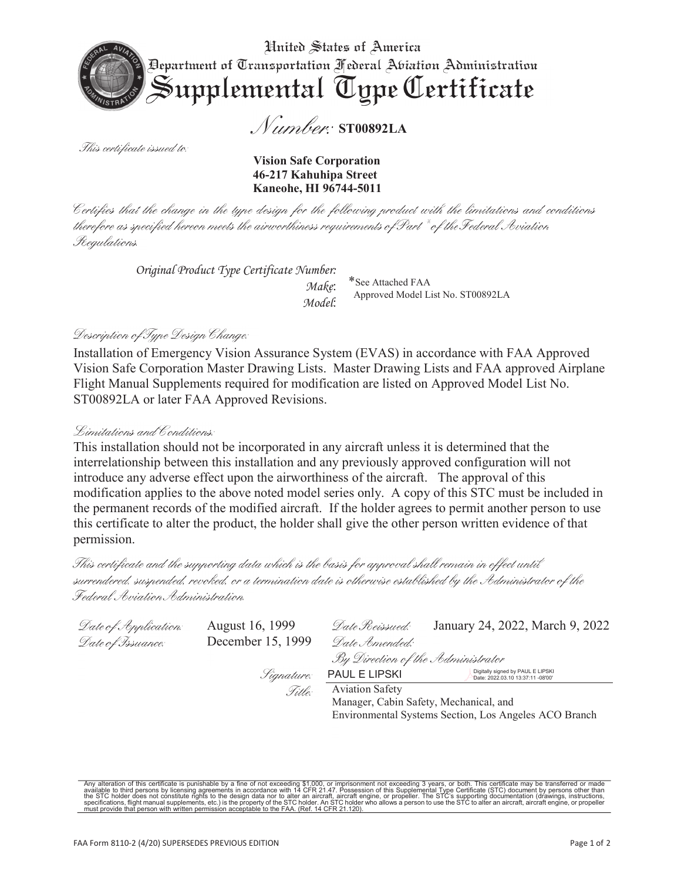

Number: ST00892LA

This certificate issued to.

Vision Safe Corporation 46-217 Kahuhipa Street Kaneohe, HI 96744-5011

Certifies that the change in the type design for the following product with the limitations and conditions therefore as specified hereon meets the airworthiness requirements of Part  $^*$  of the Federal Soviation Regulations.

*Original Product Type Certificate Number:* \*See Attached FAA

*Model*:

Approved Model List No. ST00892LA

Environmental Systems Section, Los Angeles ACO Branch

#### Description of Type Design Change:

Installation of Emergency Vision Assurance System (EVAS) in accordance with FAA Approved Vision Safe Corporation Master Drawing Lists. Master Drawing Lists and FAA approved Airplane Flight Manual Supplements required for modification are listed on Approved Model List No. ST00892LA or later FAA Approved Revisions.

#### Limitations and Conditions.

This installation should not be incorporated in any aircraft unless it is determined that the interrelationship between this installation and any previously approved configuration will not introduce any adverse effect upon the airworthiness of the aircraft. The approval of this modification applies to the above noted model series only. A copy of this STC must be included in the permanent records of the modified aircraft. If the holder agrees to permit another person to use this certificate to alter the product, the holder shall give the other person written evidence of that permission.

This certificate and the supporting data which is the basis for approval shall remain in effect until surrendered, suspended, revoked, or a termination date is otherwise established by the Administrator of the Federal Aviation Administration

| Date of Application: | August 16, 1999   | Date Reissued:                                                                          | January 24, 2022, March 9, 2022 |  |
|----------------------|-------------------|-----------------------------------------------------------------------------------------|---------------------------------|--|
| Date of Issuance:    | December 15, 1999 | Date Amended:                                                                           |                                 |  |
|                      |                   | By Direction of the Administrator                                                       |                                 |  |
|                      | Signature:        | Digitally signed by PAUL E LIPSKI<br>PAUL E LIPSKI<br>Date: 2022.03.10 13:37:11 -08'00' |                                 |  |
|                      | Title:            | <b>Aviation Safety</b>                                                                  |                                 |  |
|                      |                   | Manager, Cabin Safety, Mechanical, and                                                  |                                 |  |

Any alteration of this certificate is punishable by a fine of not exceeding \$1,000, or imprisonment not exceeding 3 years, or both. This certificate may be transferred or made available to this certificate is punishable by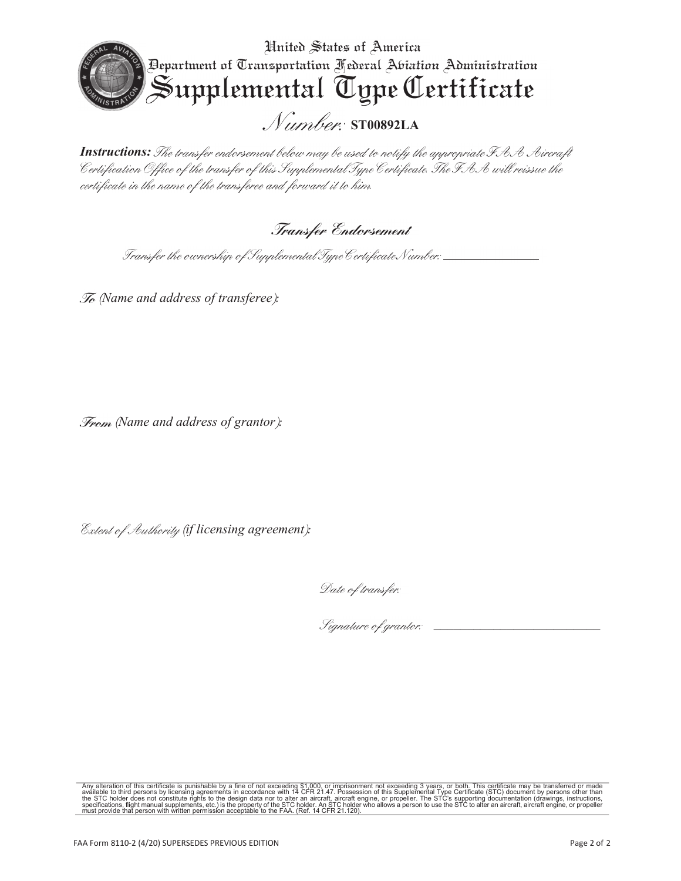

**Instructions:** The transfer endorsement below may be used to notify the appropriate FAA Aircraft Certification Office of the transfer of this Supplemental Type Certificate. The FAA will reissue the certificate in the name of the transferee and forward it to him.

### Transfer Endorsement

Transfer the ownership of Supplemental Type Certificate Number: \_\_\_\_\_\_\_\_\_\_\_

*(Name and address of transferee):* 

*(Name and address of grantor):* 

 *(if licensing agreement):* 

Date of transfer:

 *\_\_\_\_\_\_\_\_\_\_\_\_\_\_\_\_\_\_\_\_\_\_\_\_\_* 

Any alteration of this certificate is punishable by a fine of not exceeding \$1,000, or imprisonment not exceeding 3 years, or both. This certificate may be transferred or made available to third persons by licensing agreem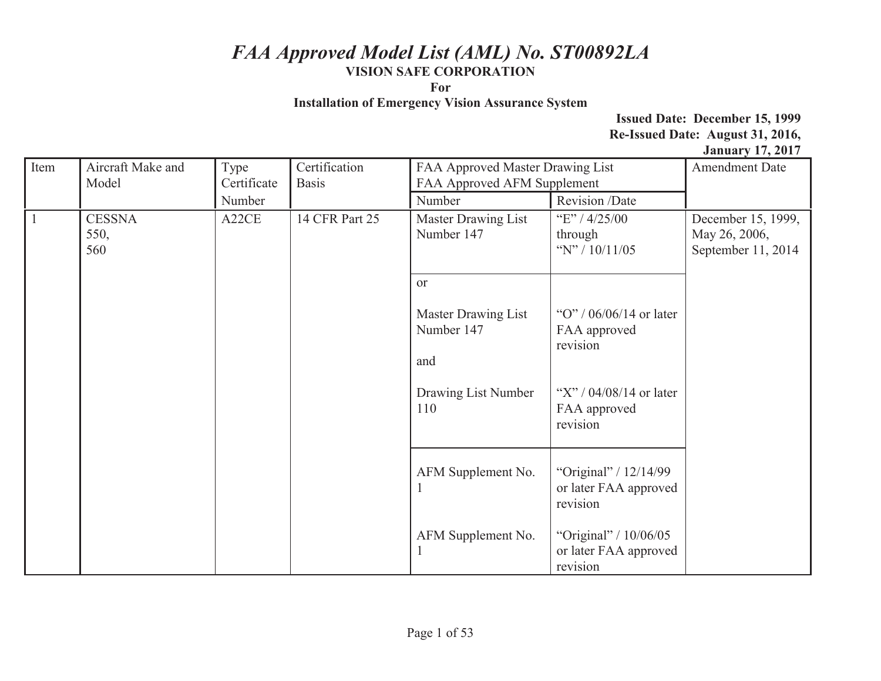**For** 

**Installation of Emergency Vision Assurance System** 

|              | Aircraft Make and |             | Certification  |                                  |                           |                       |
|--------------|-------------------|-------------|----------------|----------------------------------|---------------------------|-----------------------|
| Item         |                   | Type        |                | FAA Approved Master Drawing List |                           | <b>Amendment Date</b> |
|              | Model             | Certificate | <b>Basis</b>   | FAA Approved AFM Supplement      |                           |                       |
|              |                   | Number      |                | Number                           | Revision /Date            |                       |
| $\mathbf{1}$ | <b>CESSNA</b>     | A22CE       | 14 CFR Part 25 | Master Drawing List              | "E" / $4/25/00$           | December 15, 1999,    |
|              | 550,              |             |                | Number 147                       | through                   | May 26, 2006,         |
|              | 560               |             |                |                                  | "N" / $10/11/05$          | September 11, 2014    |
|              |                   |             |                |                                  |                           |                       |
|              |                   |             |                | or                               |                           |                       |
|              |                   |             |                |                                  |                           |                       |
|              |                   |             |                | Master Drawing List              | "O" / $06/06/14$ or later |                       |
|              |                   |             |                | Number 147                       |                           |                       |
|              |                   |             |                |                                  | FAA approved<br>revision  |                       |
|              |                   |             |                |                                  |                           |                       |
|              |                   |             |                | and                              |                           |                       |
|              |                   |             |                |                                  |                           |                       |
|              |                   |             |                | Drawing List Number              | "X" / $04/08/14$ or later |                       |
|              |                   |             |                | 110                              | FAA approved              |                       |
|              |                   |             |                |                                  | revision                  |                       |
|              |                   |             |                |                                  |                           |                       |
|              |                   |             |                |                                  |                           |                       |
|              |                   |             |                | AFM Supplement No.               | "Original" / 12/14/99     |                       |
|              |                   |             |                |                                  | or later FAA approved     |                       |
|              |                   |             |                |                                  | revision                  |                       |
|              |                   |             |                |                                  |                           |                       |
|              |                   |             |                | AFM Supplement No.               | "Original" / 10/06/05     |                       |
|              |                   |             |                |                                  | or later FAA approved     |                       |
|              |                   |             |                |                                  | revision                  |                       |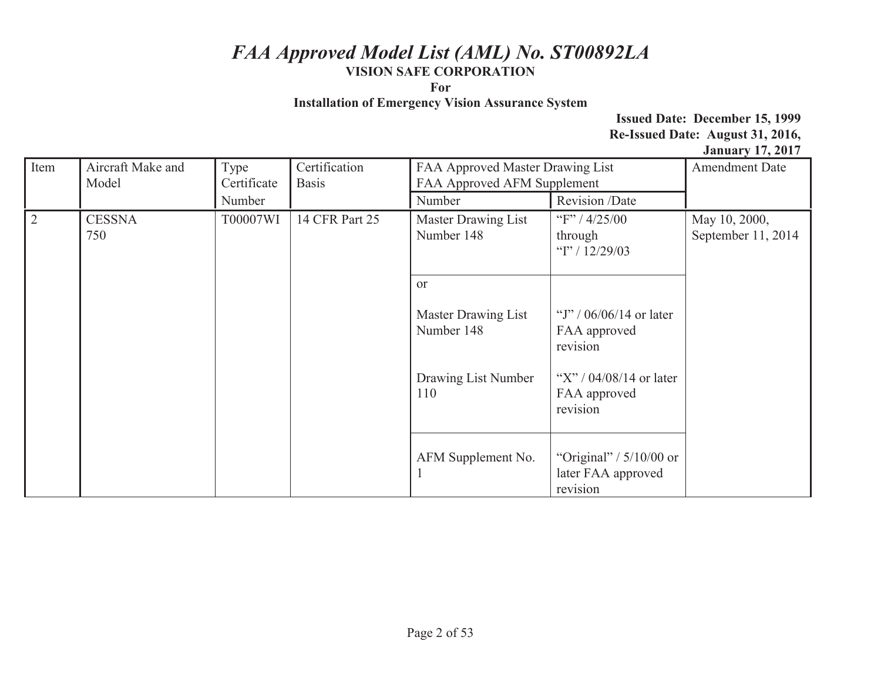**For** 

**Installation of Emergency Vision Assurance System** 

| Item      | Aircraft Make and<br>Model | Type<br>Certificate | Certification<br><b>Basis</b> | FAA Approved Master Drawing List<br>FAA Approved AFM Supplement |                                                             | $\frac{1}{2}$ and $\frac{1}{2}$ and $\frac{1}{2}$ and $\frac{1}{2}$ and $\frac{1}{2}$ and $\frac{1}{2}$ and $\frac{1}{2}$ and $\frac{1}{2}$ and $\frac{1}{2}$ and $\frac{1}{2}$ and $\frac{1}{2}$ and $\frac{1}{2}$ and $\frac{1}{2}$ and $\frac{1}{2}$ and $\frac{1}{2}$ and $\frac{1}{2}$ a<br><b>Amendment Date</b> |
|-----------|----------------------------|---------------------|-------------------------------|-----------------------------------------------------------------|-------------------------------------------------------------|------------------------------------------------------------------------------------------------------------------------------------------------------------------------------------------------------------------------------------------------------------------------------------------------------------------------|
|           |                            | Number              |                               | Number                                                          | Revision /Date                                              |                                                                                                                                                                                                                                                                                                                        |
| $\vert$ 2 | <b>CESSNA</b><br>750       | T00007WI            | 14 CFR Part 25                | Master Drawing List<br>Number 148                               | "F" / $4/25/00$<br>through<br>"I" / $12/29/03$              | May 10, 2000,<br>September 11, 2014                                                                                                                                                                                                                                                                                    |
|           |                            | or                  |                               |                                                                 |                                                             |                                                                                                                                                                                                                                                                                                                        |
|           |                            |                     |                               | Master Drawing List<br>Number 148                               | "J" / $06/06/14$ or later<br>FAA approved<br>revision       |                                                                                                                                                                                                                                                                                                                        |
|           |                            |                     |                               | Drawing List Number<br>110                                      | "X" / $04/08/14$ or later<br>FAA approved<br>revision       |                                                                                                                                                                                                                                                                                                                        |
|           |                            |                     |                               | AFM Supplement No.                                              | "Original" / $5/10/00$ or<br>later FAA approved<br>revision |                                                                                                                                                                                                                                                                                                                        |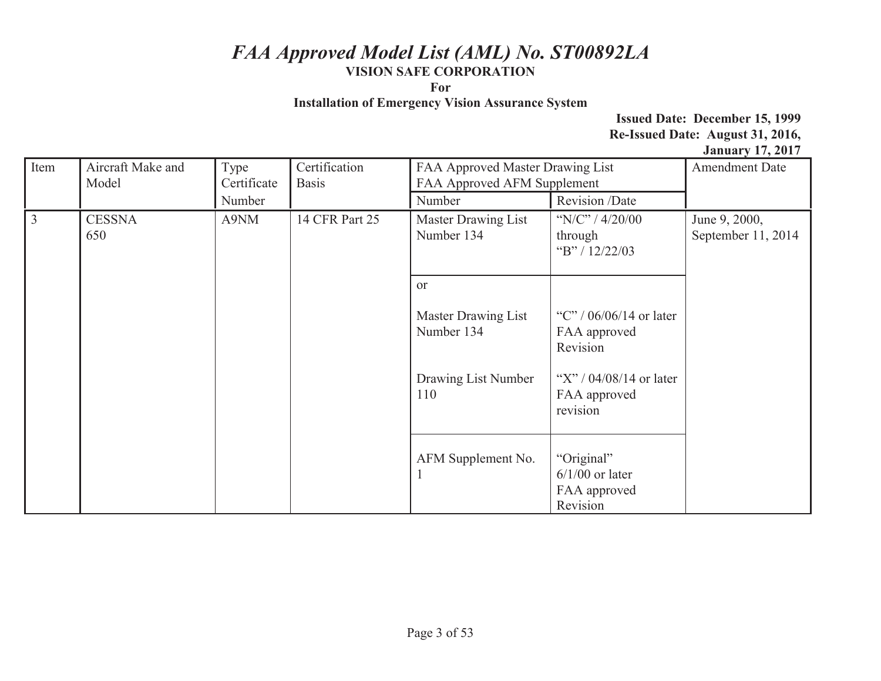**For** 

**Installation of Emergency Vision Assurance System** 

| Item      | Aircraft Make and<br>Model | Type<br>Certificate | Certification<br><b>Basis</b> | FAA Approved Master Drawing List<br>FAA Approved AFM Supplement |                                                             | <b>Amendment Date</b>               |
|-----------|----------------------------|---------------------|-------------------------------|-----------------------------------------------------------------|-------------------------------------------------------------|-------------------------------------|
|           |                            | Number              |                               | Number                                                          | Revision /Date                                              |                                     |
| $\vert$ 3 | <b>CESSNA</b><br>650       | A9NM                | 14 CFR Part 25                | Master Drawing List<br>Number 134                               | "N/C" / $4/20/00$<br>through<br>"B" / 12/22/03              | June 9, 2000,<br>September 11, 2014 |
|           |                            |                     |                               | <sub>or</sub>                                                   |                                                             |                                     |
|           |                            |                     |                               | Master Drawing List<br>Number 134                               | "C" / $06/06/14$ or later<br>FAA approved<br>Revision       |                                     |
|           |                            |                     |                               | Drawing List Number<br>110                                      | "X" / $04/08/14$ or later<br>FAA approved<br>revision       |                                     |
|           |                            |                     |                               | AFM Supplement No.                                              | "Original"<br>$6/1/00$ or later<br>FAA approved<br>Revision |                                     |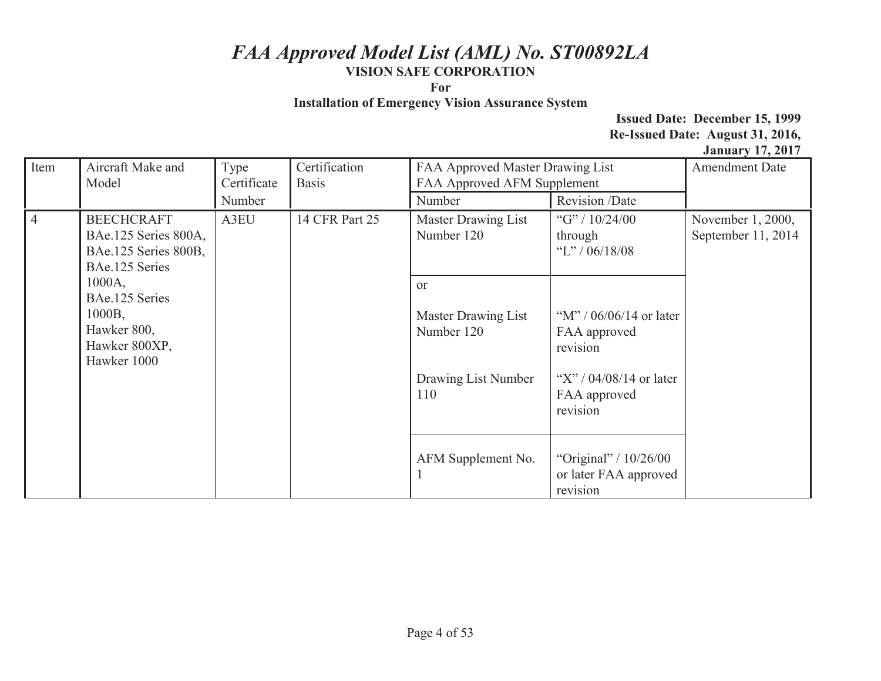**For** 

**Installation of Emergency Vision Assurance System** 

| Item           | Aircraft Make and<br>Model                                                           | Type<br>Certificate | Certification<br><b>Basis</b> | FAA Approved Master Drawing List<br>FAA Approved AFM Supplement                  |                                                                                                                | <b>Amendment Date</b>                   |
|----------------|--------------------------------------------------------------------------------------|---------------------|-------------------------------|----------------------------------------------------------------------------------|----------------------------------------------------------------------------------------------------------------|-----------------------------------------|
|                |                                                                                      | Number              |                               | Number                                                                           | Revision /Date                                                                                                 |                                         |
| $\overline{4}$ | <b>BEECHCRAFT</b><br>BAe.125 Series 800A,<br>BAe.125 Series 800B,<br>BAe.125 Series  | A3EU                | 14 CFR Part 25                | Master Drawing List<br>Number 120                                                | "G" / $10/24/00$<br>through<br>"L" / $06/18/08$                                                                | November 1, 2000,<br>September 11, 2014 |
|                | $1000A$ ,<br>BAe.125 Series<br>1000B,<br>Hawker 800,<br>Hawker 800XP,<br>Hawker 1000 |                     |                               | <sub>or</sub><br>Master Drawing List<br>Number 120<br>Drawing List Number<br>110 | "M" / $06/06/14$ or later<br>FAA approved<br>revision<br>"X" / $04/08/14$ or later<br>FAA approved<br>revision |                                         |
|                |                                                                                      |                     |                               | AFM Supplement No.                                                               | "Original" / $10/26/00$<br>or later FAA approved<br>revision                                                   |                                         |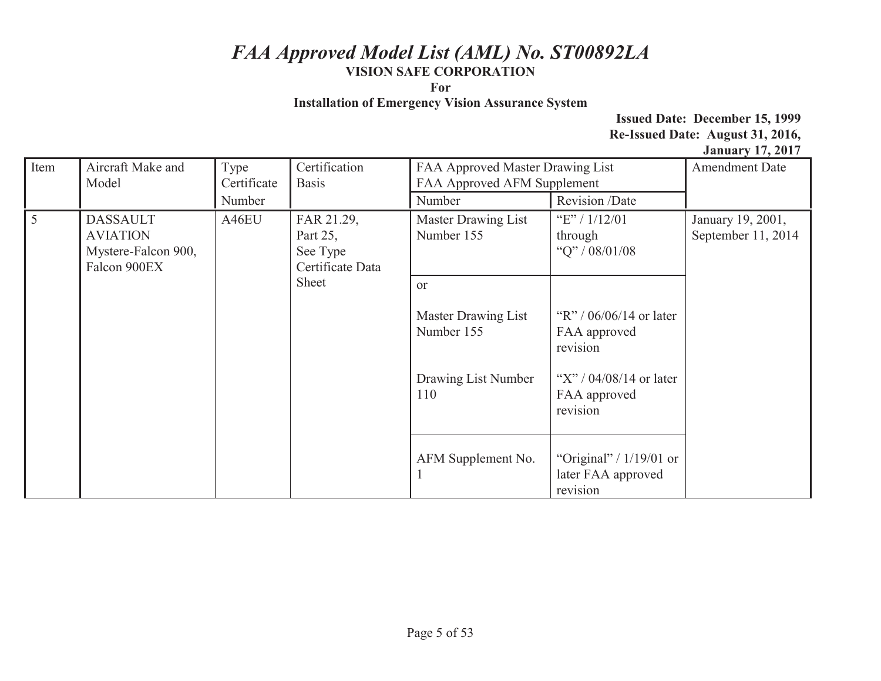**For** 

**Installation of Emergency Vision Assurance System** 

| Item            | Aircraft Make and<br>Model                                                                                                        | Type<br>Certificate | Certification<br><b>Basis</b>            | FAA Approved Master Drawing List<br>FAA Approved AFM Supplement |                                                             | <b>Amendment Date</b> |
|-----------------|-----------------------------------------------------------------------------------------------------------------------------------|---------------------|------------------------------------------|-----------------------------------------------------------------|-------------------------------------------------------------|-----------------------|
|                 |                                                                                                                                   | Number              |                                          | Number                                                          | Revision /Date                                              |                       |
| $5\overline{)}$ | A46EU<br><b>DASSAULT</b><br>FAR 21.29,<br><b>AVIATION</b><br>Part 25,<br>Mystere-Falcon 900,<br>See Type<br>Falcon 900EX<br>Sheet | Certificate Data    | <b>Master Drawing List</b><br>Number 155 | "E" / $1/12/01$<br>through<br>"Q" / 08/01/08                    | January 19, 2001,<br>September 11, 2014                     |                       |
|                 |                                                                                                                                   |                     | <sub>or</sub>                            |                                                                 |                                                             |                       |
|                 |                                                                                                                                   |                     | Master Drawing List<br>Number 155        | "R" / $06/06/14$ or later<br>FAA approved<br>revision           |                                                             |                       |
|                 |                                                                                                                                   |                     |                                          | Drawing List Number<br>110                                      | "X" / $04/08/14$ or later<br>FAA approved<br>revision       |                       |
|                 |                                                                                                                                   |                     |                                          | AFM Supplement No.                                              | "Original" / $1/19/01$ or<br>later FAA approved<br>revision |                       |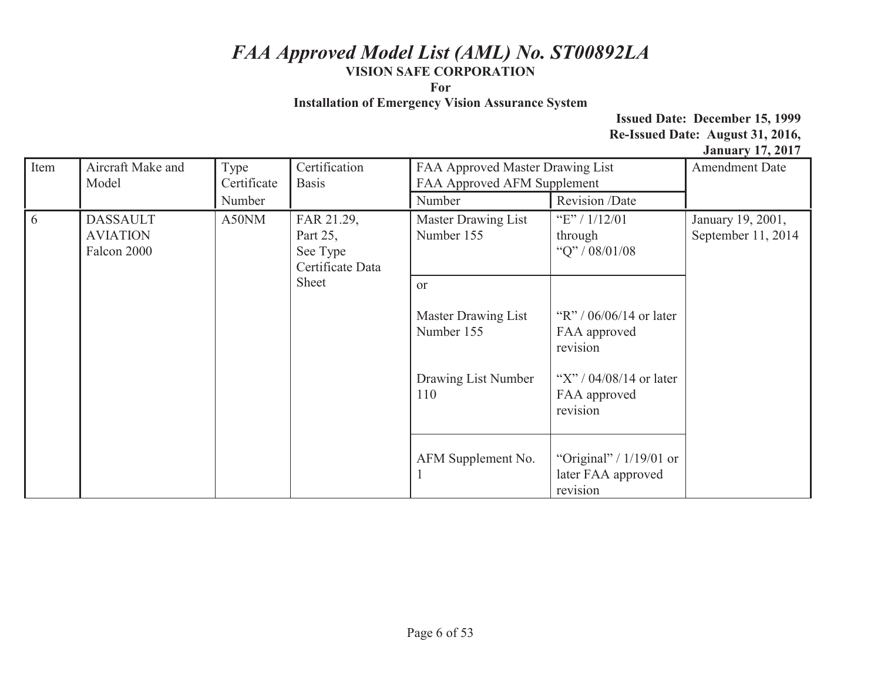**For** 

**Installation of Emergency Vision Assurance System** 

| Item           | Aircraft Make and<br>Model                                                         | Type<br>Certificate            | Certification<br><b>Basis</b>                  | FAA Approved Master Drawing List<br>FAA Approved AFM Supplement |                                                             | <b>Amendment Date</b> |
|----------------|------------------------------------------------------------------------------------|--------------------------------|------------------------------------------------|-----------------------------------------------------------------|-------------------------------------------------------------|-----------------------|
|                |                                                                                    | Number                         |                                                | Number                                                          | Revision /Date                                              |                       |
| $\overline{6}$ | A50NM<br><b>DASSAULT</b><br><b>AVIATION</b><br>Part 25,<br>Falcon 2000<br>See Type | FAR 21.29,<br>Certificate Data | <b>Master Drawing List</b><br>Number 155       | "E" / $1/12/01$<br>through<br>"Q" / 08/01/08                    | January 19, 2001,<br>September 11, 2014                     |                       |
|                |                                                                                    | Sheet                          | <b>or</b><br>Master Drawing List<br>Number 155 | "R" / $06/06/14$ or later<br>FAA approved<br>revision           |                                                             |                       |
|                |                                                                                    |                                | Drawing List Number<br>110                     | "X" / $04/08/14$ or later<br>FAA approved<br>revision           |                                                             |                       |
|                |                                                                                    |                                |                                                | AFM Supplement No.                                              | "Original" / $1/19/01$ or<br>later FAA approved<br>revision |                       |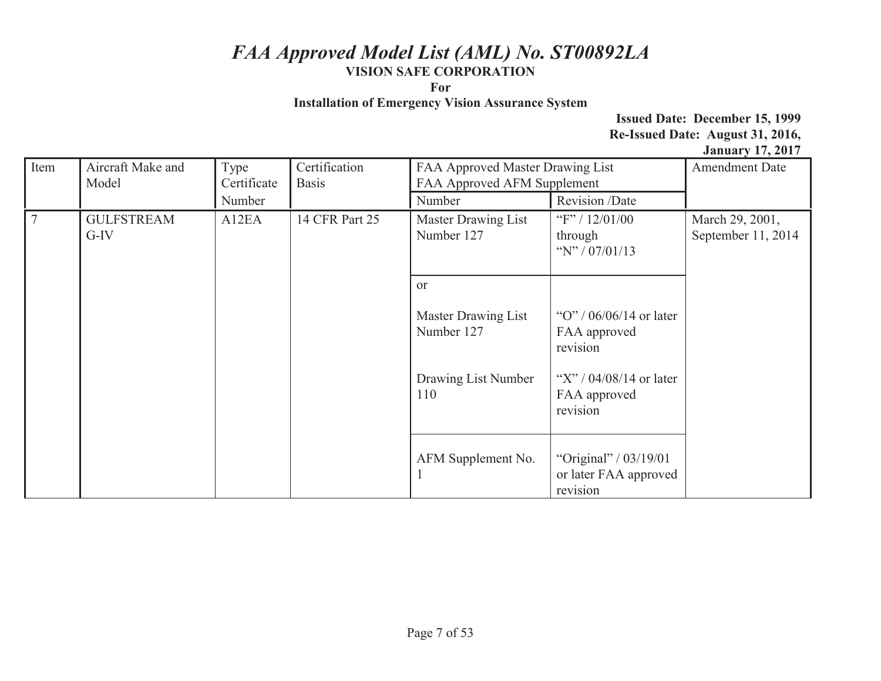**For** 

**Installation of Emergency Vision Assurance System** 

| Item      | Aircraft Make and<br>Model                             | Type<br>Certificate<br>Number | Certification<br><b>Basis</b>            | FAA Approved Master Drawing List<br>FAA Approved AFM Supplement<br>Number | Revision /Date                                                                           | $5.411$ and $7.47$ = $5.1$<br><b>Amendment Date</b> |
|-----------|--------------------------------------------------------|-------------------------------|------------------------------------------|---------------------------------------------------------------------------|------------------------------------------------------------------------------------------|-----------------------------------------------------|
| $\vert$ 7 | <b>GULFSTREAM</b><br>A12EA<br>14 CFR Part 25<br>$G-IV$ |                               | <b>Master Drawing List</b><br>Number 127 | "F" / $12/01/00$<br>through<br>"N" / $07/01/13$                           | March 29, 2001,<br>September 11, 2014                                                    |                                                     |
|           |                                                        |                               |                                          | <sub>or</sub><br>Master Drawing List<br>Number 127<br>Drawing List Number | "O" / $06/06/14$ or later<br>FAA approved<br>revision<br>"X" / $04/08/14$ or later       |                                                     |
|           |                                                        |                               |                                          | 110<br>AFM Supplement No.                                                 | FAA approved<br>revision<br>"Original" / $03/19/01$<br>or later FAA approved<br>revision |                                                     |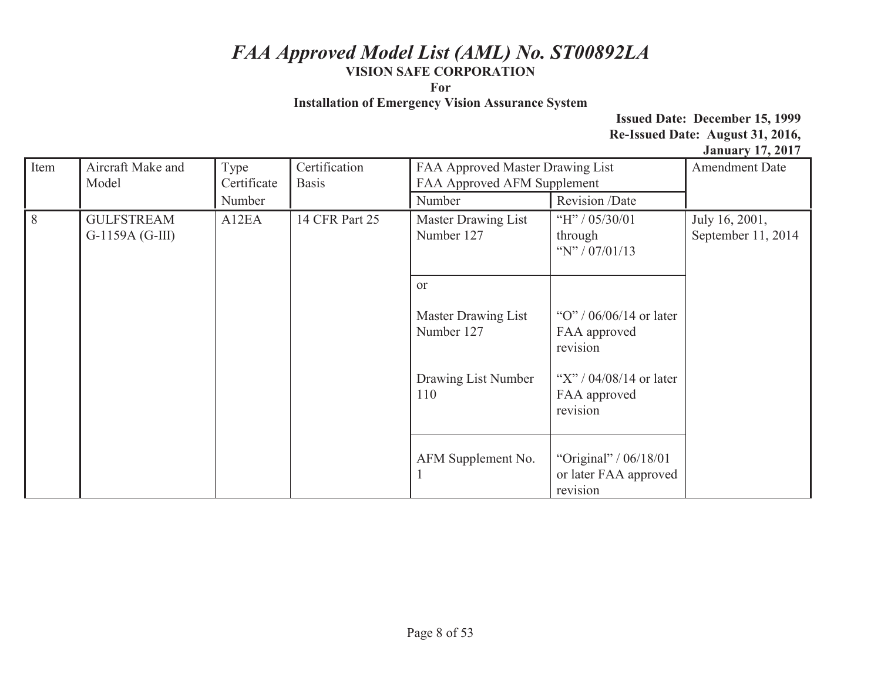**For** 

**Installation of Emergency Vision Assurance System** 

| Item | Aircraft Make and<br>Model                                       | Type<br>Certificate | Certification<br><b>Basis</b>     | FAA Approved Master Drawing List<br>FAA Approved AFM Supplement |                                                            | $5.411$ and $7.47$ = $5.1$<br><b>Amendment Date</b> |
|------|------------------------------------------------------------------|---------------------|-----------------------------------|-----------------------------------------------------------------|------------------------------------------------------------|-----------------------------------------------------|
|      |                                                                  | Number              |                                   | Number                                                          | Revision /Date                                             |                                                     |
| 8    | A12EA<br>14 CFR Part 25<br><b>GULFSTREAM</b><br>$G-1159A(G-III)$ |                     | Master Drawing List<br>Number 127 | "H" / $05/30/01$<br>through<br>"N" / $07/01/13$                 | July 16, 2001,<br>September 11, 2014                       |                                                     |
|      |                                                                  |                     | <sub>or</sub>                     |                                                                 |                                                            |                                                     |
|      |                                                                  |                     |                                   | Master Drawing List<br>Number 127                               | "O" / $06/06/14$ or later<br>FAA approved<br>revision      |                                                     |
|      |                                                                  |                     |                                   | Drawing List Number<br>110                                      | "X" / $04/08/14$ or later<br>FAA approved<br>revision      |                                                     |
|      |                                                                  |                     |                                   | AFM Supplement No.                                              | "Original" / 06/18/01<br>or later FAA approved<br>revision |                                                     |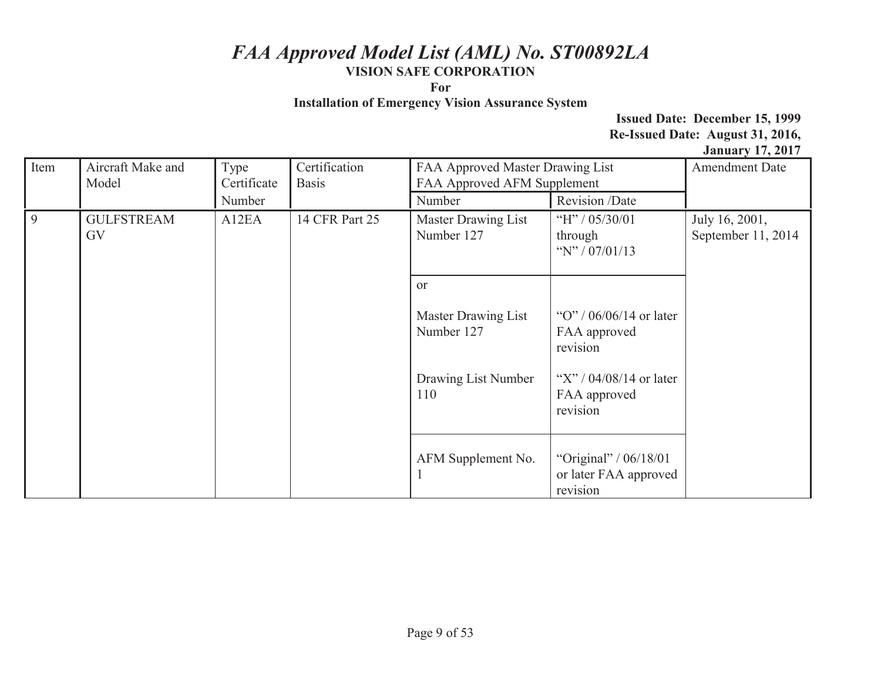**For** 

**Installation of Emergency Vision Assurance System** 

| Item       | Aircraft Make and<br>Model                         | Type<br>Certificate | Certification<br><b>Basis</b>            | FAA Approved Master Drawing List<br>FAA Approved AFM Supplement |                                                            | $5.411$ and $7.47$ = $5.1$<br><b>Amendment Date</b> |
|------------|----------------------------------------------------|---------------------|------------------------------------------|-----------------------------------------------------------------|------------------------------------------------------------|-----------------------------------------------------|
|            |                                                    | Number              |                                          | Number                                                          | Revision /Date                                             |                                                     |
| $\sqrt{9}$ | 14 CFR Part 25<br><b>GULFSTREAM</b><br>A12EA<br>GV |                     | <b>Master Drawing List</b><br>Number 127 | "H" / $05/30/01$<br>through<br>"N" / $07/01/13$                 | July 16, 2001,<br>September 11, 2014                       |                                                     |
|            |                                                    |                     | <sub>or</sub>                            |                                                                 |                                                            |                                                     |
|            |                                                    |                     |                                          | Master Drawing List<br>Number 127                               | "O" / $06/06/14$ or later<br>FAA approved<br>revision      |                                                     |
|            |                                                    |                     |                                          | Drawing List Number<br>110                                      | "X" / $04/08/14$ or later<br>FAA approved<br>revision      |                                                     |
|            |                                                    |                     |                                          | AFM Supplement No.<br>-1                                        | "Original" / 06/18/01<br>or later FAA approved<br>revision |                                                     |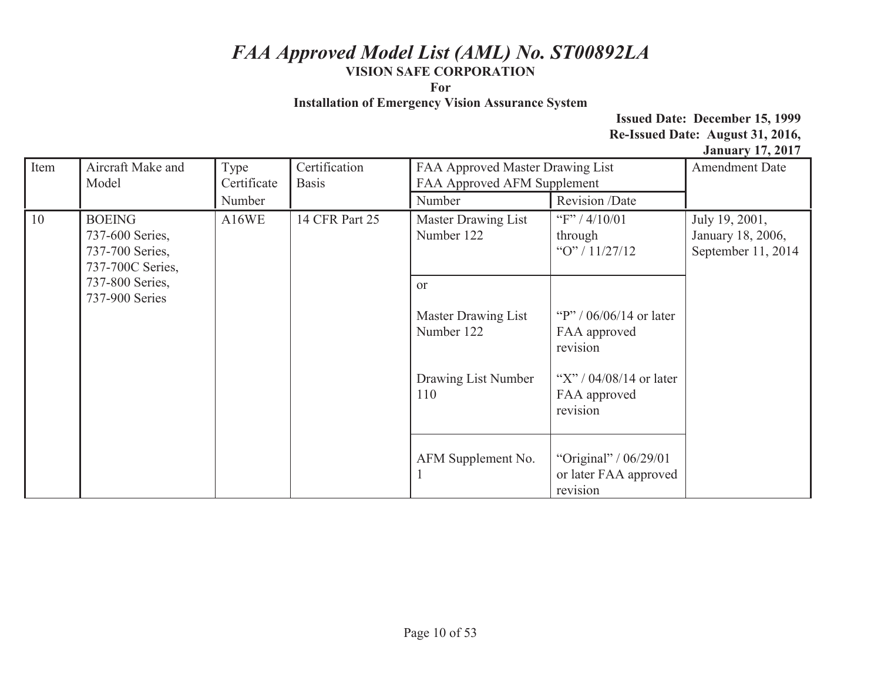**For** 

**Installation of Emergency Vision Assurance System** 

| Item                | Aircraft Make and<br>Model                             | Type<br>Certificate | Certification<br><b>Basis</b> | FAA Approved Master Drawing List<br>FAA Approved AFM Supplement                  |                                                                                                                | <b>Amendment Date</b>                                     |
|---------------------|--------------------------------------------------------|---------------------|-------------------------------|----------------------------------------------------------------------------------|----------------------------------------------------------------------------------------------------------------|-----------------------------------------------------------|
|                     |                                                        | Number              |                               | Number                                                                           | Revision /Date                                                                                                 |                                                           |
| 10<br><b>BOEING</b> | 737-600 Series,<br>737-700 Series,<br>737-700C Series, | A16WE               | 14 CFR Part 25                | Master Drawing List<br>Number 122                                                | "F" / $4/10/01$<br>through<br>" $O$ "/11/27/12                                                                 | July 19, 2001,<br>January 18, 2006,<br>September 11, 2014 |
|                     | 737-800 Series,<br>737-900 Series                      |                     |                               | <sub>or</sub><br>Master Drawing List<br>Number 122<br>Drawing List Number<br>110 | "P" / $06/06/14$ or later<br>FAA approved<br>revision<br>"X" / $04/08/14$ or later<br>FAA approved<br>revision |                                                           |
|                     |                                                        |                     |                               | AFM Supplement No.                                                               | "Original" / $06/29/01$<br>or later FAA approved<br>revision                                                   |                                                           |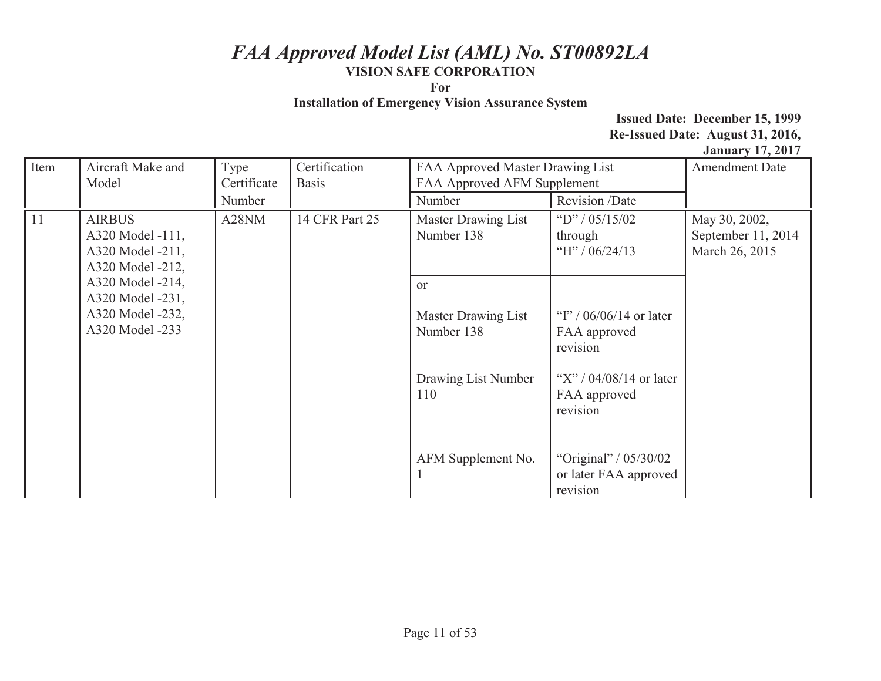**For** 

**Installation of Emergency Vision Assurance System** 

| Item                | Aircraft Make and<br>Model                                                  | Type<br>Certificate | Certification<br>FAA Approved Master Drawing List<br>FAA Approved AFM Supplement<br><b>Basis</b> |                                                                                                                |                                                            | <b>Amendment Date</b>                                 |
|---------------------|-----------------------------------------------------------------------------|---------------------|--------------------------------------------------------------------------------------------------|----------------------------------------------------------------------------------------------------------------|------------------------------------------------------------|-------------------------------------------------------|
|                     |                                                                             | Number              |                                                                                                  | Number                                                                                                         | Revision /Date                                             |                                                       |
| 11<br><b>AIRBUS</b> | A320 Model -111,<br>A320 Model -211,<br>A320 Model -212,                    | A28NM               | 14 CFR Part 25                                                                                   | Master Drawing List<br>Number 138                                                                              | "D" / $05/15/02$<br>through<br>"H" / $06/24/13$            | May 30, 2002,<br>September 11, 2014<br>March 26, 2015 |
|                     | A320 Model -214,<br>A320 Model -231,<br>A320 Model -232,<br>A320 Model -233 |                     | <sub>or</sub><br>Master Drawing List<br>Number 138<br>Drawing List Number<br>110                 | "I" / $06/06/14$ or later<br>FAA approved<br>revision<br>"X" / $04/08/14$ or later<br>FAA approved<br>revision |                                                            |                                                       |
|                     |                                                                             |                     |                                                                                                  | AFM Supplement No.                                                                                             | "Original" / 05/30/02<br>or later FAA approved<br>revision |                                                       |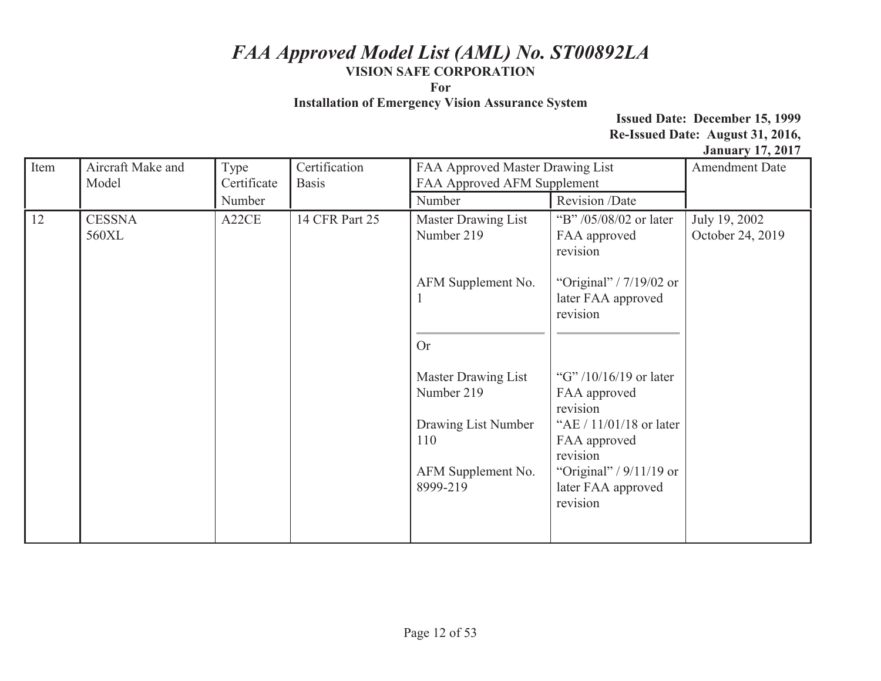**For** 

**Installation of Emergency Vision Assurance System** 

| Item | Aircraft Make and<br>Model | Type<br>Certificate | Certification<br><b>Basis</b> | FAA Approved Master Drawing List<br>FAA Approved AFM Supplement                                   |                                                                                                                                                                            | $0$ anuary 1794017<br><b>Amendment Date</b> |
|------|----------------------------|---------------------|-------------------------------|---------------------------------------------------------------------------------------------------|----------------------------------------------------------------------------------------------------------------------------------------------------------------------------|---------------------------------------------|
|      |                            | Number              |                               | Number                                                                                            | Revision /Date                                                                                                                                                             |                                             |
| 12   | <b>CESSNA</b><br>560XL     | A22CE               | 14 CFR Part 25                | Master Drawing List<br>Number 219                                                                 | "B" /05/08/02 or later<br>FAA approved<br>revision                                                                                                                         | July 19, 2002<br>October 24, 2019           |
|      |                            |                     |                               | AFM Supplement No.<br>л                                                                           | "Original" / $7/19/02$ or<br>later FAA approved<br>revision                                                                                                                |                                             |
|      |                            |                     |                               | <b>Or</b>                                                                                         |                                                                                                                                                                            |                                             |
|      |                            |                     |                               | Master Drawing List<br>Number 219<br>Drawing List Number<br>110<br>AFM Supplement No.<br>8999-219 | "G" $/10/16/19$ or later<br>FAA approved<br>revision<br>"AE / 11/01/18 or later<br>FAA approved<br>revision<br>"Original" / $9/11/19$ or<br>later FAA approved<br>revision |                                             |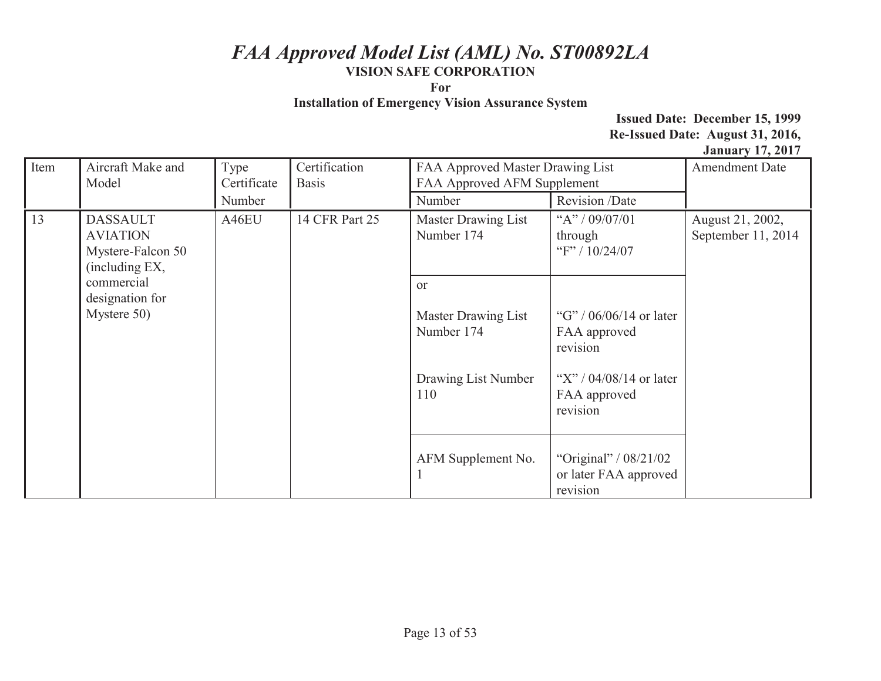**For** 

**Installation of Emergency Vision Assurance System** 

| Item | Aircraft Make and<br>Model                                                | Type<br>Certificate | Certification<br><b>Basis</b> | FAA Approved Master Drawing List<br>FAA Approved AFM Supplement                  |                                                                                                                | <b>Amendment Date</b>                  |
|------|---------------------------------------------------------------------------|---------------------|-------------------------------|----------------------------------------------------------------------------------|----------------------------------------------------------------------------------------------------------------|----------------------------------------|
|      |                                                                           | Number              |                               | Number                                                                           | Revision /Date                                                                                                 |                                        |
| 13   | <b>DASSAULT</b><br><b>AVIATION</b><br>Mystere-Falcon 50<br>(including EX, | A46EU               | 14 CFR Part 25                | Master Drawing List<br>Number 174                                                | "A" / 09/07/01<br>through<br>"F" / 10/24/07                                                                    | August 21, 2002,<br>September 11, 2014 |
|      | commercial<br>designation for<br>Mystere 50)                              |                     |                               | <sub>or</sub><br>Master Drawing List<br>Number 174<br>Drawing List Number<br>110 | "G" / $06/06/14$ or later<br>FAA approved<br>revision<br>"X" / $04/08/14$ or later<br>FAA approved<br>revision |                                        |
|      |                                                                           |                     | AFM Supplement No.            | "Original" / 08/21/02<br>or later FAA approved<br>revision                       |                                                                                                                |                                        |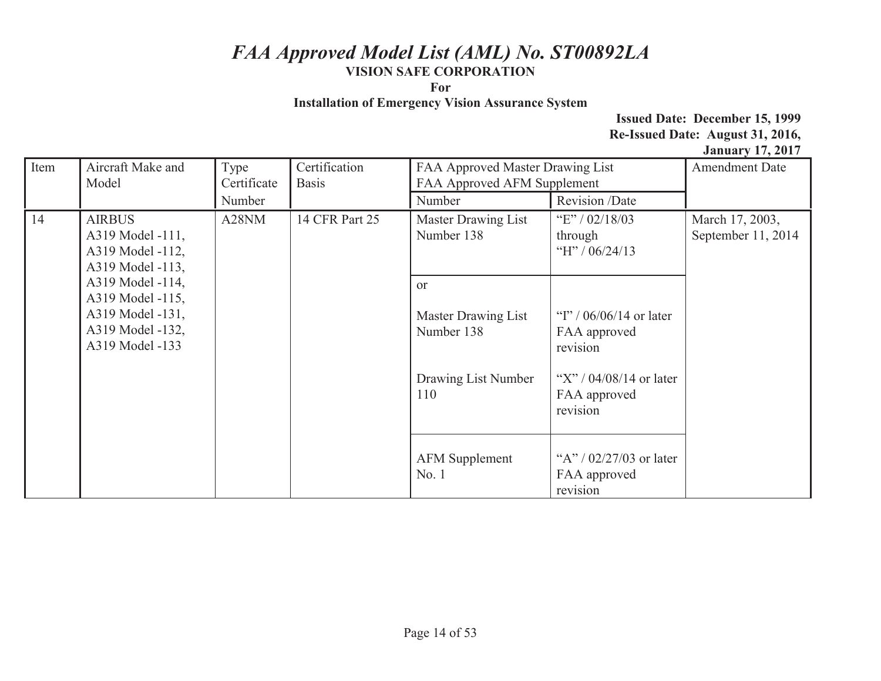**For** 

**Installation of Emergency Vision Assurance System** 

| Item | Aircraft Make and<br>Model                                                                                                                                                            | Type<br>Certificate                                 | Certification<br><b>Basis</b>                                                    | FAA Approved Master Drawing List<br>FAA Approved AFM Supplement                                                |                                                       | <b>Amendment Date</b> |
|------|---------------------------------------------------------------------------------------------------------------------------------------------------------------------------------------|-----------------------------------------------------|----------------------------------------------------------------------------------|----------------------------------------------------------------------------------------------------------------|-------------------------------------------------------|-----------------------|
|      |                                                                                                                                                                                       | Number                                              |                                                                                  | Number                                                                                                         | Revision /Date                                        |                       |
| 14   | A28NM<br><b>AIRBUS</b><br>A319 Model -111,<br>A319 Model -112,<br>A319 Model -113,<br>A319 Model -114,<br>A319 Model -115,<br>A319 Model -131,<br>A319 Model -132,<br>A319 Model -133 | 14 CFR Part 25<br>Master Drawing List<br>Number 138 | "E" / $02/18/03$<br>through<br>"H" / $06/24/13$                                  | March 17, 2003,<br>September 11, 2014                                                                          |                                                       |                       |
|      |                                                                                                                                                                                       |                                                     | <sub>or</sub><br>Master Drawing List<br>Number 138<br>Drawing List Number<br>110 | "I" / $06/06/14$ or later<br>FAA approved<br>revision<br>"X" / $04/08/14$ or later<br>FAA approved<br>revision |                                                       |                       |
|      |                                                                                                                                                                                       |                                                     |                                                                                  | <b>AFM Supplement</b><br>No. 1                                                                                 | "A" / $02/27/03$ or later<br>FAA approved<br>revision |                       |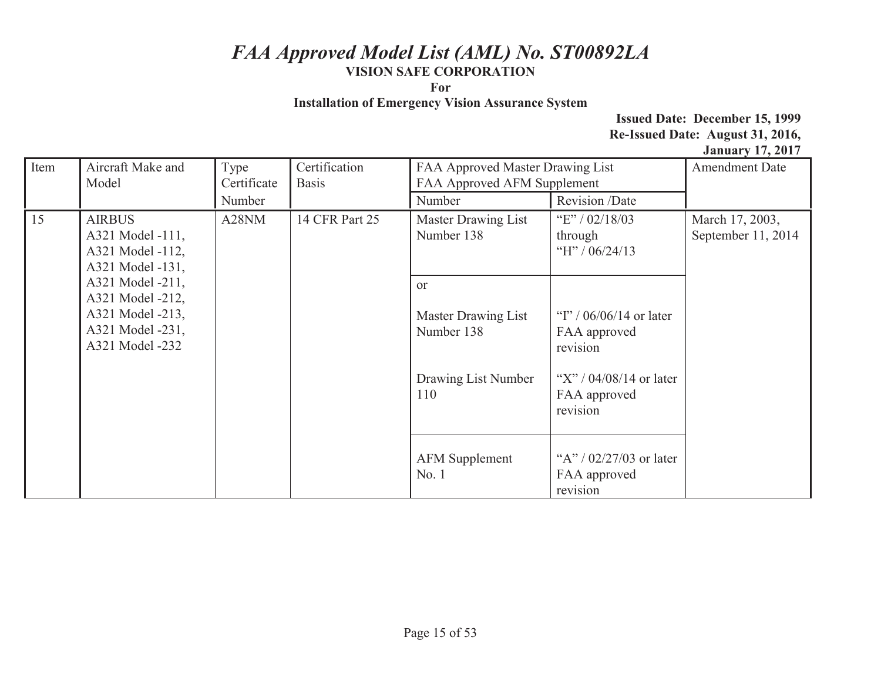**For** 

**Installation of Emergency Vision Assurance System** 

| Item                                                                                            | Aircraft Make and<br>Model                                                         | Type<br>Certificate | Certification<br><b>Basis</b>                                                    | FAA Approved Master Drawing List<br>FAA Approved AFM Supplement                                                |                                                       | <b>Amendment Date</b>                 |
|-------------------------------------------------------------------------------------------------|------------------------------------------------------------------------------------|---------------------|----------------------------------------------------------------------------------|----------------------------------------------------------------------------------------------------------------|-------------------------------------------------------|---------------------------------------|
|                                                                                                 |                                                                                    | Number              |                                                                                  | Number                                                                                                         | Revision /Date                                        |                                       |
| 15                                                                                              | A28NM<br><b>AIRBUS</b><br>A321 Model -111,<br>A321 Model -112,<br>A321 Model -131, |                     | 14 CFR Part 25                                                                   | Master Drawing List<br>Number 138                                                                              | "E" / $02/18/03$<br>through<br>"H" / $06/24/13$       | March 17, 2003,<br>September 11, 2014 |
| A321 Model -211,<br>A321 Model -212,<br>A321 Model -213,<br>A321 Model -231,<br>A321 Model -232 |                                                                                    |                     | <sub>or</sub><br>Master Drawing List<br>Number 138<br>Drawing List Number<br>110 | "I" / $06/06/14$ or later<br>FAA approved<br>revision<br>"X" / $04/08/14$ or later<br>FAA approved<br>revision |                                                       |                                       |
|                                                                                                 |                                                                                    |                     |                                                                                  | <b>AFM Supplement</b><br>No.1                                                                                  | "A" / $02/27/03$ or later<br>FAA approved<br>revision |                                       |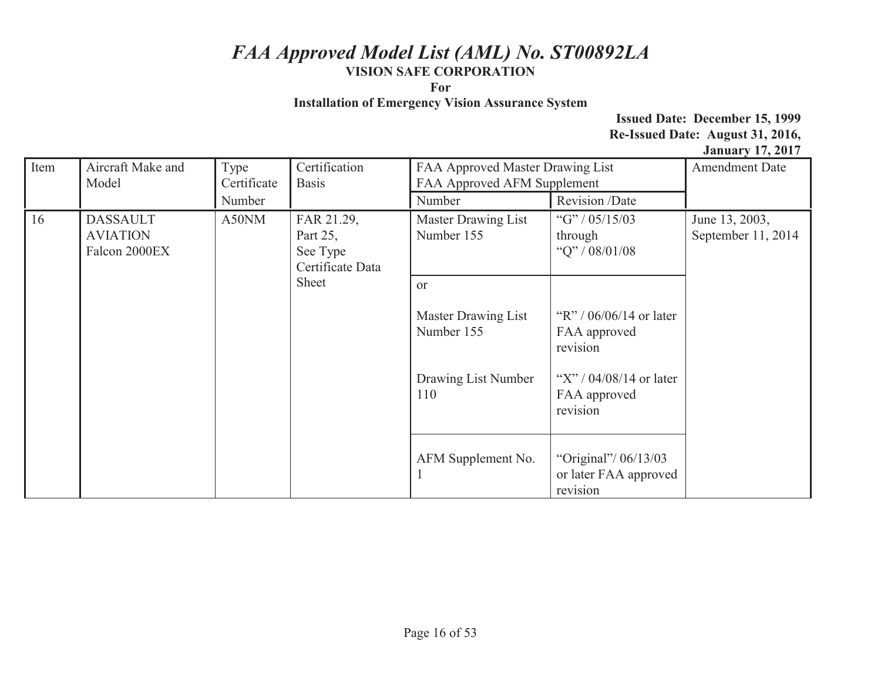**For** 

**Installation of Emergency Vision Assurance System** 

| Item | Aircraft Make and<br>Model                                                                    | Type<br>Certificate            | Certification<br>FAA Approved Master Drawing List<br>FAA Approved AFM Supplement<br><b>Basis</b> |                                                       |                                                           | <b>Amendment Date</b> |
|------|-----------------------------------------------------------------------------------------------|--------------------------------|--------------------------------------------------------------------------------------------------|-------------------------------------------------------|-----------------------------------------------------------|-----------------------|
|      |                                                                                               | Number                         |                                                                                                  | Number                                                | Revision /Date                                            |                       |
| 16   | A50NM<br><b>DASSAULT</b><br><b>AVIATION</b><br>Part 25,<br>Falcon 2000EX<br>See Type<br>Sheet | FAR 21.29,<br>Certificate Data | Master Drawing List<br>Number 155                                                                | "G" / $05/15/03$<br>through<br>"Q" / $08/01/08$       | June 13, 2003,<br>September 11, 2014                      |                       |
|      |                                                                                               |                                | or                                                                                               |                                                       |                                                           |                       |
|      |                                                                                               |                                | Master Drawing List<br>Number 155                                                                | "R" / $06/06/14$ or later<br>FAA approved<br>revision |                                                           |                       |
|      |                                                                                               |                                |                                                                                                  | Drawing List Number<br>110                            | "X" / $04/08/14$ or later<br>FAA approved<br>revision     |                       |
|      |                                                                                               |                                |                                                                                                  | AFM Supplement No.                                    | "Original"/ 06/13/03<br>or later FAA approved<br>revision |                       |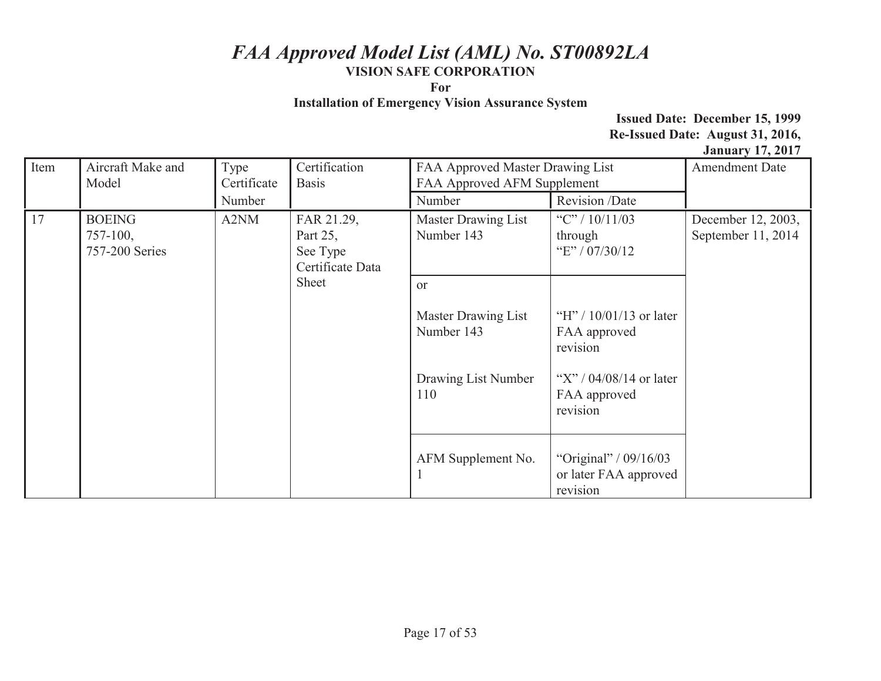**For** 

**Installation of Emergency Vision Assurance System** 

| Item | Aircraft Make and<br>Model                              | Type<br>Certificate                                    | Certification<br><b>Basis</b>                         | FAA Approved Master Drawing List<br>FAA Approved AFM Supplement |                                                            | $\frac{1}{2}$ and $\frac{1}{2}$ and $\frac{1}{2}$ and $\frac{1}{2}$ and $\frac{1}{2}$ and $\frac{1}{2}$ and $\frac{1}{2}$ and $\frac{1}{2}$ and $\frac{1}{2}$ and $\frac{1}{2}$ and $\frac{1}{2}$ and $\frac{1}{2}$ and $\frac{1}{2}$ and $\frac{1}{2}$ and $\frac{1}{2}$ and $\frac{1}{2}$ a<br><b>Amendment Date</b> |
|------|---------------------------------------------------------|--------------------------------------------------------|-------------------------------------------------------|-----------------------------------------------------------------|------------------------------------------------------------|------------------------------------------------------------------------------------------------------------------------------------------------------------------------------------------------------------------------------------------------------------------------------------------------------------------------|
|      |                                                         | Number                                                 |                                                       | Number                                                          | Revision /Date                                             |                                                                                                                                                                                                                                                                                                                        |
| 17   | A2NM<br><b>BOEING</b><br>$757 - 100,$<br>757-200 Series | FAR 21.29,<br>Part 25,<br>See Type<br>Certificate Data | <b>Master Drawing List</b><br>Number 143              | "C" / 10/11/03<br>through<br>"E" / $07/30/12$                   | December 12, 2003,<br>September 11, 2014                   |                                                                                                                                                                                                                                                                                                                        |
|      |                                                         | Sheet                                                  | <b>or</b>                                             |                                                                 |                                                            |                                                                                                                                                                                                                                                                                                                        |
|      |                                                         |                                                        | Master Drawing List<br>Number 143                     | "H" / $10/01/13$ or later<br>FAA approved<br>revision           |                                                            |                                                                                                                                                                                                                                                                                                                        |
|      |                                                         | Drawing List Number<br>110                             | "X" / $04/08/14$ or later<br>FAA approved<br>revision |                                                                 |                                                            |                                                                                                                                                                                                                                                                                                                        |
|      |                                                         |                                                        |                                                       | AFM Supplement No.                                              | "Original" / 09/16/03<br>or later FAA approved<br>revision |                                                                                                                                                                                                                                                                                                                        |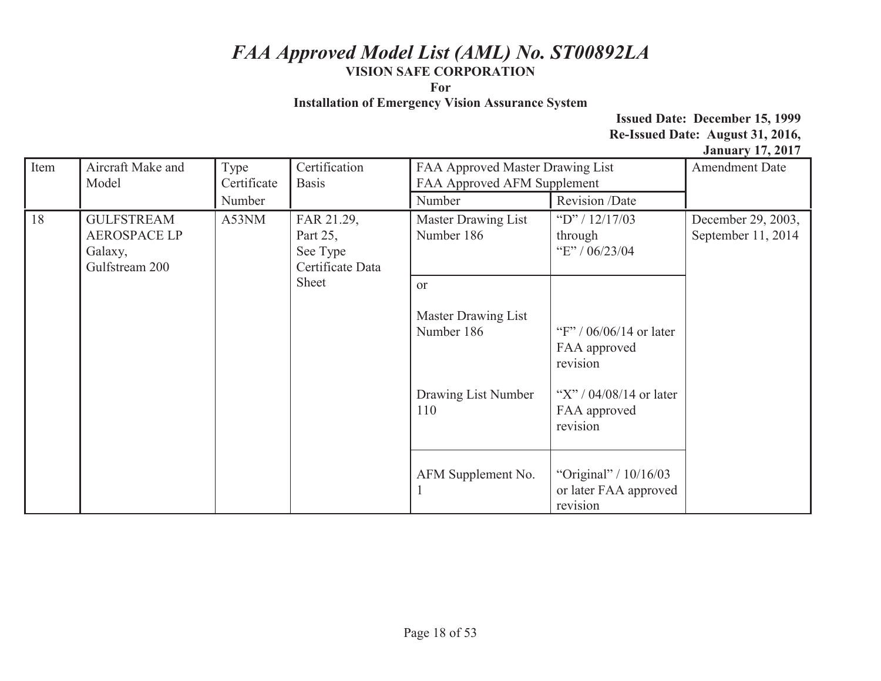**For** 

**Installation of Emergency Vision Assurance System** 

| Item | Aircraft Make and<br>Model                                            | Type<br>Certificate | Certification<br><b>Basis</b>                          | FAA Approved Master Drawing List<br>FAA Approved AFM Supplement |                                                            | <b>Amendment Date</b>                    |
|------|-----------------------------------------------------------------------|---------------------|--------------------------------------------------------|-----------------------------------------------------------------|------------------------------------------------------------|------------------------------------------|
|      |                                                                       | Number              |                                                        | Number                                                          | Revision /Date                                             |                                          |
| 18   | <b>GULFSTREAM</b><br><b>AEROSPACE LP</b><br>Galaxy,<br>Gulfstream 200 | A53NM               | FAR 21.29,<br>Part 25,<br>See Type<br>Certificate Data | Master Drawing List<br>Number 186                               | "D" / $12/17/03$<br>through<br>"E" / 06/23/04              | December 29, 2003,<br>September 11, 2014 |
|      |                                                                       |                     | Sheet                                                  | or<br>Master Drawing List<br>Number 186                         | "F" / $06/06/14$ or later<br>FAA approved<br>revision      |                                          |
|      |                                                                       |                     |                                                        | Drawing List Number<br>110                                      | "X" / $04/08/14$ or later<br>FAA approved<br>revision      |                                          |
|      |                                                                       |                     |                                                        | AFM Supplement No.                                              | "Original" / 10/16/03<br>or later FAA approved<br>revision |                                          |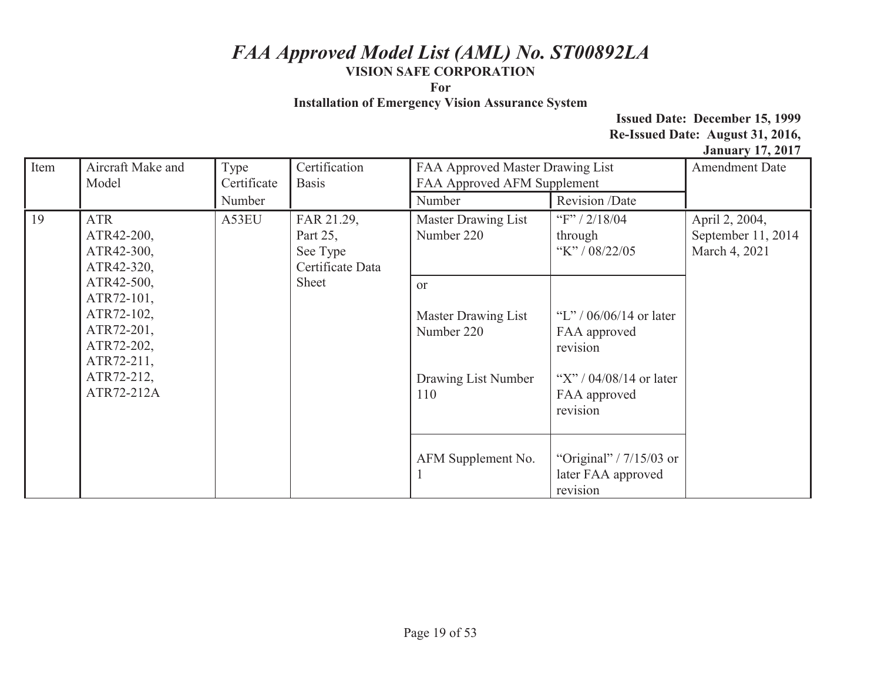**For** 

**Installation of Emergency Vision Assurance System** 

| Item | Aircraft Make and<br>Model                                                                                                                                                                                                   | Type<br>Certificate               | Certification<br><b>Basis</b>                                   | FAA Approved Master Drawing List<br>FAA Approved AFM Supplement                                                |                                                       | <b>Amendment Date</b> |
|------|------------------------------------------------------------------------------------------------------------------------------------------------------------------------------------------------------------------------------|-----------------------------------|-----------------------------------------------------------------|----------------------------------------------------------------------------------------------------------------|-------------------------------------------------------|-----------------------|
|      |                                                                                                                                                                                                                              | Number                            |                                                                 | Number                                                                                                         | Revision /Date                                        |                       |
| 19   | A53EU<br><b>ATR</b><br>FAR 21.29,<br>ATR42-200,<br>Part 25,<br>ATR42-300,<br>See Type<br>ATR42-320,<br>ATR42-500,<br>Sheet<br>ATR72-101,<br>ATR72-102,<br>ATR72-201,<br>ATR72-202,<br>ATR72-211,<br>ATR72-212,<br>ATR72-212A | Certificate Data<br><sub>or</sub> | <b>Master Drawing List</b><br>Number 220                        | "F" / $2/18/04$<br>through<br>"K" / $08/22/05$                                                                 | April 2, 2004,<br>September 11, 2014<br>March 4, 2021 |                       |
|      |                                                                                                                                                                                                                              |                                   | Master Drawing List<br>Number 220<br>Drawing List Number<br>110 | "L" / $06/06/14$ or later<br>FAA approved<br>revision<br>"X" / $04/08/14$ or later<br>FAA approved<br>revision |                                                       |                       |
|      |                                                                                                                                                                                                                              | AFM Supplement No.                | "Original" / $7/15/03$ or<br>later FAA approved<br>revision     |                                                                                                                |                                                       |                       |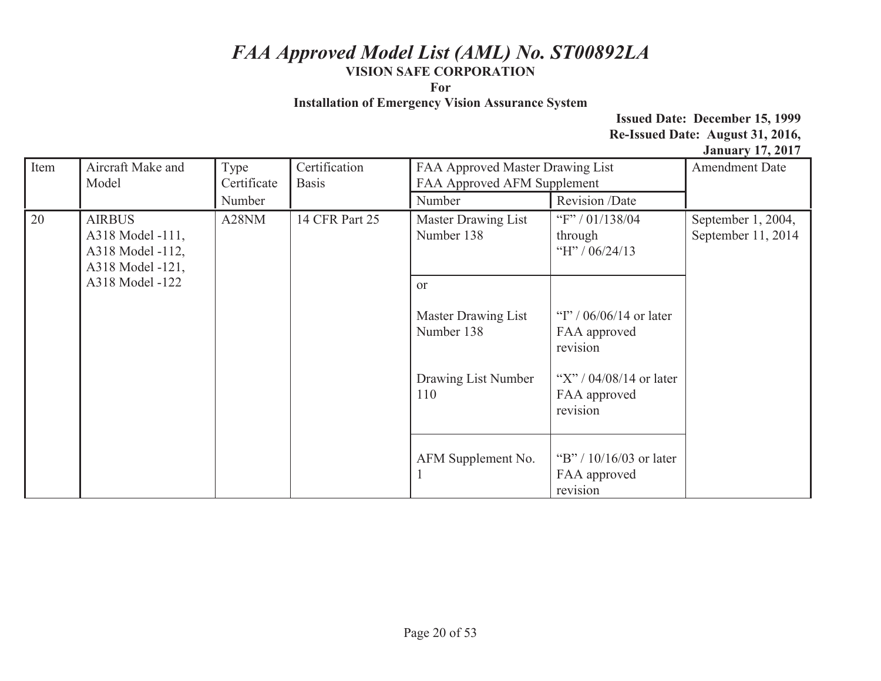**For** 

**Installation of Emergency Vision Assurance System** 

| Item                                                                                               | Aircraft Make and<br>Model | Type<br>Certificate | Certification<br>FAA Approved Master Drawing List<br>FAA Approved AFM Supplement<br><b>Basis</b> |                                   |                                                       | <b>Amendment Date</b>                    |
|----------------------------------------------------------------------------------------------------|----------------------------|---------------------|--------------------------------------------------------------------------------------------------|-----------------------------------|-------------------------------------------------------|------------------------------------------|
|                                                                                                    |                            | Number              |                                                                                                  | Number                            | Revision /Date                                        |                                          |
| 20<br><b>AIRBUS</b><br>A318 Model -111,<br>A318 Model -112,<br>A318 Model -121,<br>A318 Model -122 |                            | A28NM               | 14 CFR Part 25                                                                                   | Master Drawing List<br>Number 138 | "F" / 01/138/04<br>through<br>"H" / $06/24/13$        | September 1, 2004,<br>September 11, 2014 |
|                                                                                                    |                            |                     | <sub>or</sub>                                                                                    |                                   |                                                       |                                          |
|                                                                                                    |                            |                     |                                                                                                  | Master Drawing List<br>Number 138 | "I" / $06/06/14$ or later<br>FAA approved<br>revision |                                          |
|                                                                                                    |                            |                     |                                                                                                  | Drawing List Number<br>110        | "X" / $04/08/14$ or later<br>FAA approved<br>revision |                                          |
|                                                                                                    |                            |                     |                                                                                                  | AFM Supplement No.                | "B" / $10/16/03$ or later<br>FAA approved<br>revision |                                          |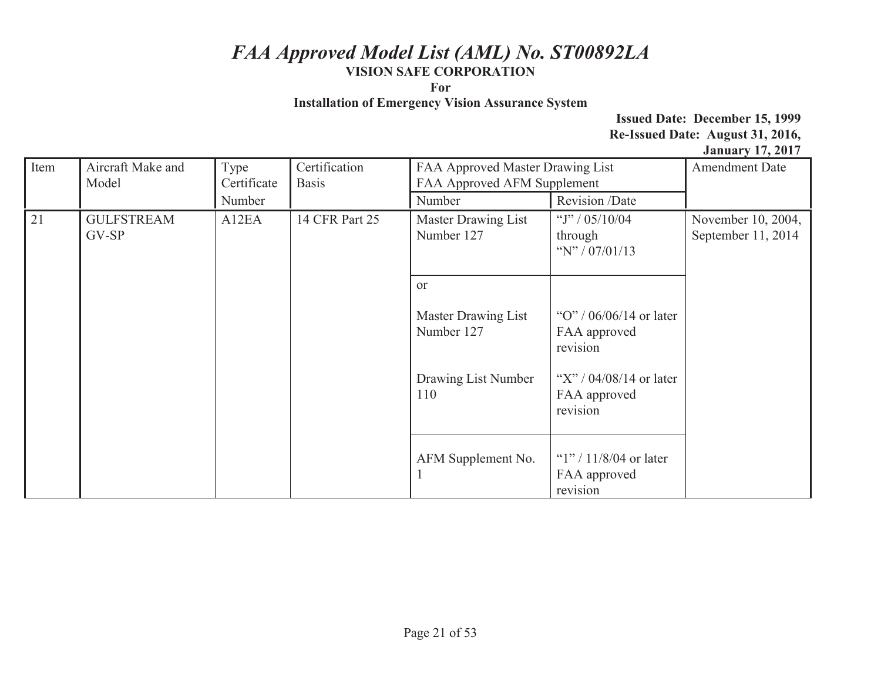**For** 

**Installation of Emergency Vision Assurance System** 

| Item | Aircraft Make and<br>Model | Type<br>Certificate | Certification<br><b>Basis</b>     | FAA Approved Master Drawing List<br>FAA Approved AFM Supplement |                                                       | $\frac{1}{2}$ $\frac{1}{2}$ $\frac{1}{2}$ $\frac{1}{2}$ $\frac{1}{2}$ $\frac{1}{2}$ $\frac{1}{2}$ $\frac{1}{2}$ $\frac{1}{2}$ $\frac{1}{2}$<br><b>Amendment Date</b> |
|------|----------------------------|---------------------|-----------------------------------|-----------------------------------------------------------------|-------------------------------------------------------|----------------------------------------------------------------------------------------------------------------------------------------------------------------------|
|      |                            | Number              |                                   | Number                                                          | Revision /Date                                        |                                                                                                                                                                      |
| 21   | <b>GULFSTREAM</b><br>GV-SP | A12EA               | 14 CFR Part 25                    | Master Drawing List<br>Number 127                               | "J" / $05/10/04$<br>through<br>"N" / $07/01/13$       | November 10, 2004,<br>September 11, 2014                                                                                                                             |
|      |                            |                     | <sub>or</sub>                     |                                                                 |                                                       |                                                                                                                                                                      |
|      |                            |                     | Master Drawing List<br>Number 127 | "O" / $06/06/14$ or later<br>FAA approved<br>revision           |                                                       |                                                                                                                                                                      |
|      |                            |                     |                                   | Drawing List Number<br>110                                      | "X" / $04/08/14$ or later<br>FAA approved<br>revision |                                                                                                                                                                      |
|      |                            |                     |                                   | AFM Supplement No.                                              | " $1$ "/ 11/8/04 or later<br>FAA approved<br>revision |                                                                                                                                                                      |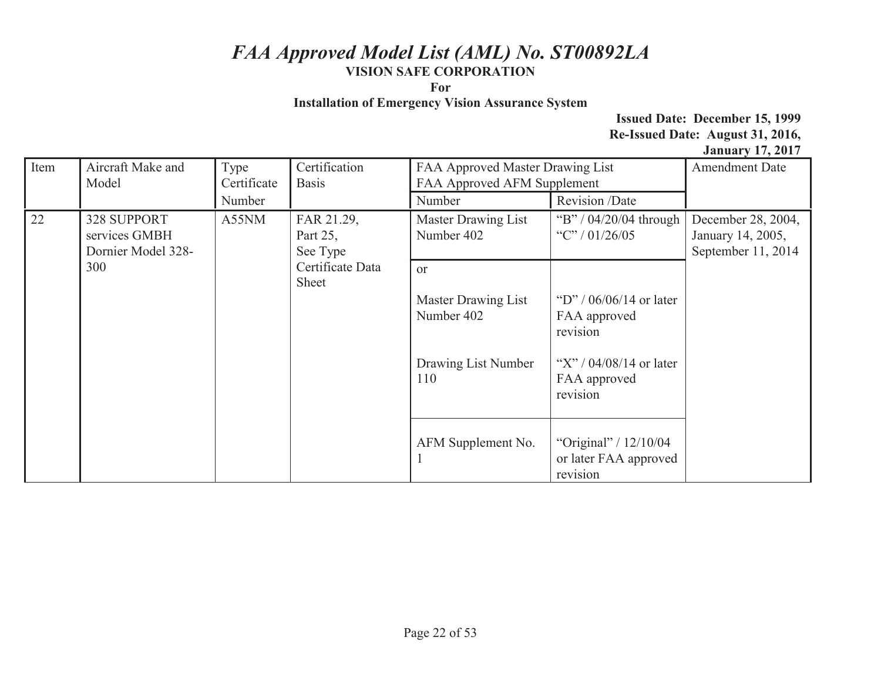**For** 

**Installation of Emergency Vision Assurance System** 

| Item | Aircraft Make and<br>Model                                                                               | Type<br>Certificate               | Certification<br><b>Basis</b>              | FAA Approved Master Drawing List<br>FAA Approved AFM Supplement |                                                              | <b>Amendment Date</b> |
|------|----------------------------------------------------------------------------------------------------------|-----------------------------------|--------------------------------------------|-----------------------------------------------------------------|--------------------------------------------------------------|-----------------------|
|      |                                                                                                          | Number                            |                                            | Number                                                          | Revision /Date                                               |                       |
| 22   | A55NM<br><b>328 SUPPORT</b><br>FAR 21.29,<br>services GMBH<br>Part 25,<br>Dornier Model 328-<br>See Type | Master Drawing List<br>Number 402 | "B" / 04/20/04 through<br>"C" / $01/26/05$ | December 28, 2004,<br>January 14, 2005,<br>September 11, 2014   |                                                              |                       |
|      | 300                                                                                                      |                                   | Certificate Data<br>Sheet                  | <sub>or</sub>                                                   |                                                              |                       |
|      |                                                                                                          |                                   |                                            | Master Drawing List<br>Number 402                               | "D" / $06/06/14$ or later<br>FAA approved<br>revision        |                       |
|      |                                                                                                          |                                   |                                            | Drawing List Number<br>110                                      | "X" / $04/08/14$ or later<br>FAA approved<br>revision        |                       |
|      |                                                                                                          |                                   |                                            | AFM Supplement No.                                              | "Original" / $12/10/04$<br>or later FAA approved<br>revision |                       |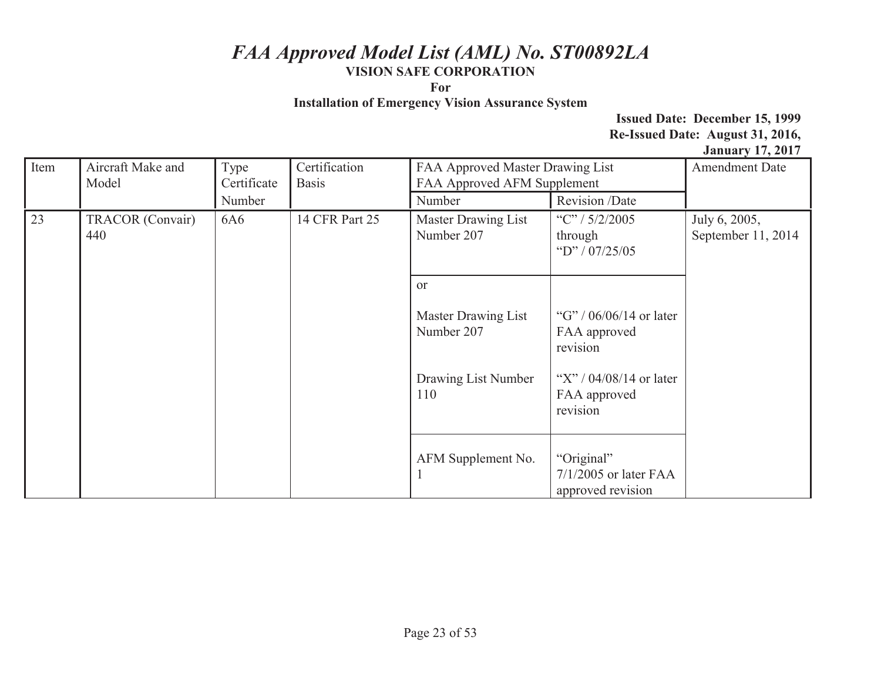**For** 

**Installation of Emergency Vision Assurance System** 

| Item | Aircraft Make and<br>Model | Type<br>Certificate | Certification<br><b>Basis</b>     | FAA Approved Master Drawing List<br>FAA Approved AFM Supplement |                                                            | <b>Amendment Date</b>               |
|------|----------------------------|---------------------|-----------------------------------|-----------------------------------------------------------------|------------------------------------------------------------|-------------------------------------|
|      |                            | Number              |                                   | Number                                                          | Revision /Date                                             |                                     |
| 23   | TRACOR (Convair)<br>440    | 6A6                 | 14 CFR Part 25                    | Master Drawing List<br>Number 207                               | "C" / $5/2/2005$<br>through<br>"D" / $07/25/05$            | July 6, 2005,<br>September 11, 2014 |
|      |                            |                     | <sub>or</sub>                     |                                                                 |                                                            |                                     |
|      |                            |                     | Master Drawing List<br>Number 207 | "G" / $06/06/14$ or later<br>FAA approved<br>revision           |                                                            |                                     |
|      |                            |                     |                                   | Drawing List Number<br>110                                      | "X" / $04/08/14$ or later<br>FAA approved<br>revision      |                                     |
|      |                            |                     |                                   | AFM Supplement No.                                              | "Original"<br>$7/1/2005$ or later FAA<br>approved revision |                                     |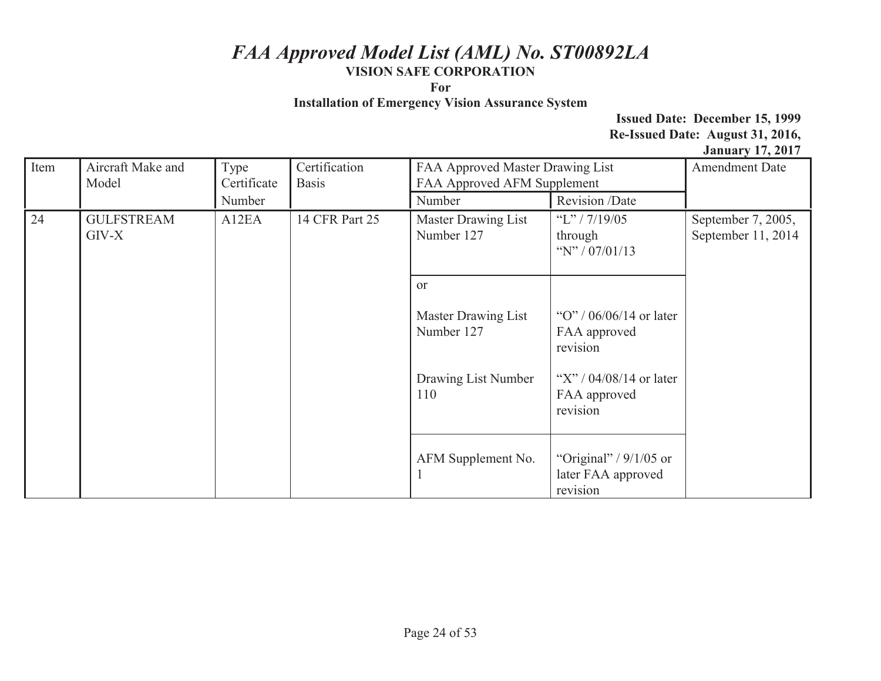**For** 

**Installation of Emergency Vision Assurance System** 

| Item          | Aircraft Make and<br>Model | Type<br>Certificate | Certification<br><b>Basis</b> | FAA Approved Master Drawing List<br>FAA Approved AFM Supplement |                                                            | $\frac{1}{2}$ and $\frac{1}{2}$ are $\frac{1}{2}$ and $\frac{1}{2}$ are $\frac{1}{2}$ and $\frac{1}{2}$ are $\frac{1}{2}$ and $\frac{1}{2}$ are $\frac{1}{2}$ are $\frac{1}{2}$ and $\frac{1}{2}$ are $\frac{1}{2}$ are $\frac{1}{2}$ are $\frac{1}{2}$ are $\frac{1}{2}$ are $\frac{1}{2}$ a<br><b>Amendment Date</b> |
|---------------|----------------------------|---------------------|-------------------------------|-----------------------------------------------------------------|------------------------------------------------------------|------------------------------------------------------------------------------------------------------------------------------------------------------------------------------------------------------------------------------------------------------------------------------------------------------------------------|
|               |                            | Number              |                               | Number                                                          | Revision /Date                                             |                                                                                                                                                                                                                                                                                                                        |
| 24<br>$GIV-X$ | <b>GULFSTREAM</b>          | A12EA               | 14 CFR Part 25                | <b>Master Drawing List</b><br>Number 127                        | "L" / $7/19/05$<br>through<br>"N" / $07/01/13$             | September 7, 2005,<br>September 11, 2014                                                                                                                                                                                                                                                                               |
|               |                            |                     |                               | <sub>or</sub>                                                   |                                                            |                                                                                                                                                                                                                                                                                                                        |
|               |                            |                     |                               | Master Drawing List<br>Number 127                               | "O" / $06/06/14$ or later<br>FAA approved<br>revision      |                                                                                                                                                                                                                                                                                                                        |
|               |                            |                     |                               | Drawing List Number<br>110                                      | "X" / $04/08/14$ or later<br>FAA approved<br>revision      |                                                                                                                                                                                                                                                                                                                        |
|               |                            |                     |                               | AFM Supplement No.                                              | "Original" / $9/1/05$ or<br>later FAA approved<br>revision |                                                                                                                                                                                                                                                                                                                        |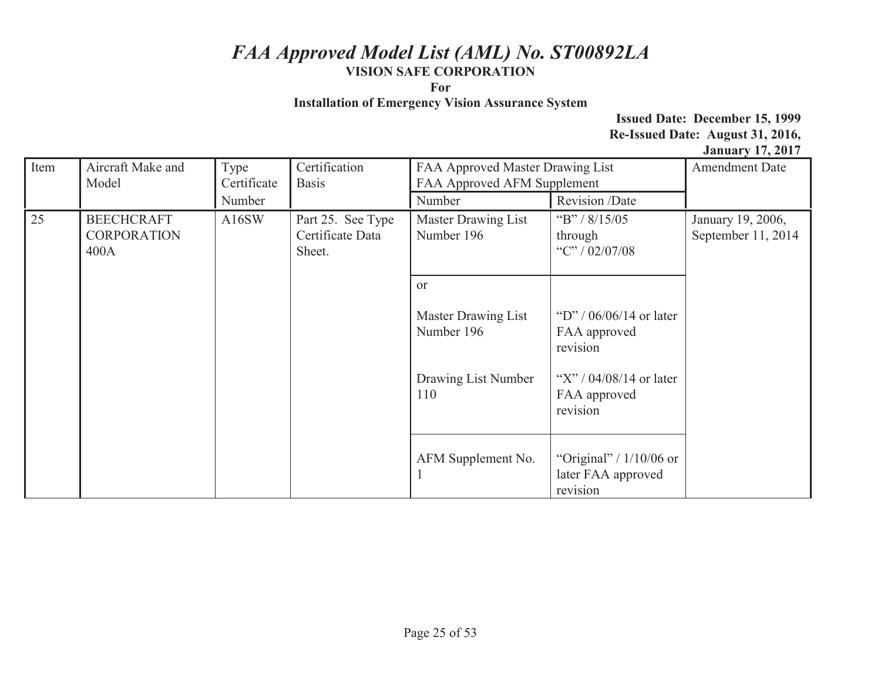**For** 

**Installation of Emergency Vision Assurance System** 

| Item | Aircraft Make and<br>Model                      | Type<br>Certificate | Certification<br><b>Basis</b>                   | FAA Approved Master Drawing List<br>FAA Approved AFM Supplement |                                                             | $\frac{1}{2}$ and $\frac{1}{2}$ and $\frac{1}{2}$ and $\frac{1}{2}$ and $\frac{1}{2}$ and $\frac{1}{2}$ and $\frac{1}{2}$ and $\frac{1}{2}$ and $\frac{1}{2}$ and $\frac{1}{2}$ and $\frac{1}{2}$ and $\frac{1}{2}$ and $\frac{1}{2}$ and $\frac{1}{2}$ and $\frac{1}{2}$ and $\frac{1}{2}$ a<br><b>Amendment Date</b> |
|------|-------------------------------------------------|---------------------|-------------------------------------------------|-----------------------------------------------------------------|-------------------------------------------------------------|------------------------------------------------------------------------------------------------------------------------------------------------------------------------------------------------------------------------------------------------------------------------------------------------------------------------|
|      |                                                 | Number              |                                                 | Number                                                          | Revision /Date                                              |                                                                                                                                                                                                                                                                                                                        |
| 25   | <b>BEECHCRAFT</b><br><b>CORPORATION</b><br>400A | A16SW               | Part 25. See Type<br>Certificate Data<br>Sheet. | Master Drawing List<br>Number 196                               | "B" / $8/15/05$<br>through<br>"C" / 02/07/08                | January 19, 2006,<br>September 11, 2014                                                                                                                                                                                                                                                                                |
|      |                                                 |                     |                                                 | <sub>or</sub>                                                   |                                                             |                                                                                                                                                                                                                                                                                                                        |
|      |                                                 |                     |                                                 | Master Drawing List<br>Number 196                               | "D" / $06/06/14$ or later<br>FAA approved<br>revision       |                                                                                                                                                                                                                                                                                                                        |
|      |                                                 |                     |                                                 | Drawing List Number<br>110                                      | "X" / $04/08/14$ or later<br>FAA approved<br>revision       |                                                                                                                                                                                                                                                                                                                        |
|      |                                                 |                     |                                                 | AFM Supplement No.                                              | "Original" / $1/10/06$ or<br>later FAA approved<br>revision |                                                                                                                                                                                                                                                                                                                        |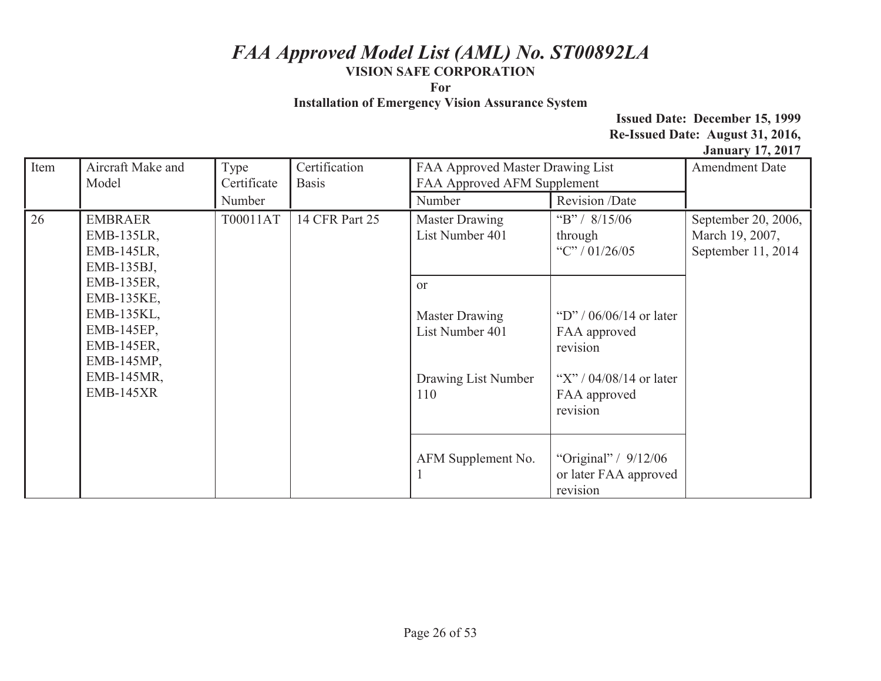**For** 

**Installation of Emergency Vision Assurance System** 

| Item | Aircraft Make and<br>Model                                                                                                | Type<br>Certificate | Certification<br><b>Basis</b>            | FAA Approved Master Drawing List<br>FAA Approved AFM Supplement                         |                                                                                                                | <b>Amendment Date</b> |
|------|---------------------------------------------------------------------------------------------------------------------------|---------------------|------------------------------------------|-----------------------------------------------------------------------------------------|----------------------------------------------------------------------------------------------------------------|-----------------------|
|      |                                                                                                                           | Number              |                                          | Number                                                                                  | Revision /Date                                                                                                 |                       |
| 26   | T00011AT<br><b>EMBRAER</b><br>EMB-135LR,<br><b>EMB-145LR,</b><br>EMB-135BJ,                                               | 14 CFR Part 25      | <b>Master Drawing</b><br>List Number 401 | "B" / $8/15/06$<br>through<br>"C" / $01/26/05$                                          | September 20, 2006,<br>March 19, 2007,<br>September 11, 2014                                                   |                       |
|      | EMB-135ER,<br>EMB-135KE,<br>EMB-135KL,<br>EMB-145EP,<br><b>EMB-145ER,</b><br>EMB-145MP,<br>EMB-145MR,<br><b>EMB-145XR</b> |                     |                                          | <sub>or</sub><br><b>Master Drawing</b><br>List Number 401<br>Drawing List Number<br>110 | "D" / $06/06/14$ or later<br>FAA approved<br>revision<br>"X" / $04/08/14$ or later<br>FAA approved<br>revision |                       |
|      |                                                                                                                           |                     |                                          | AFM Supplement No.                                                                      | "Original" / 9/12/06<br>or later FAA approved<br>revision                                                      |                       |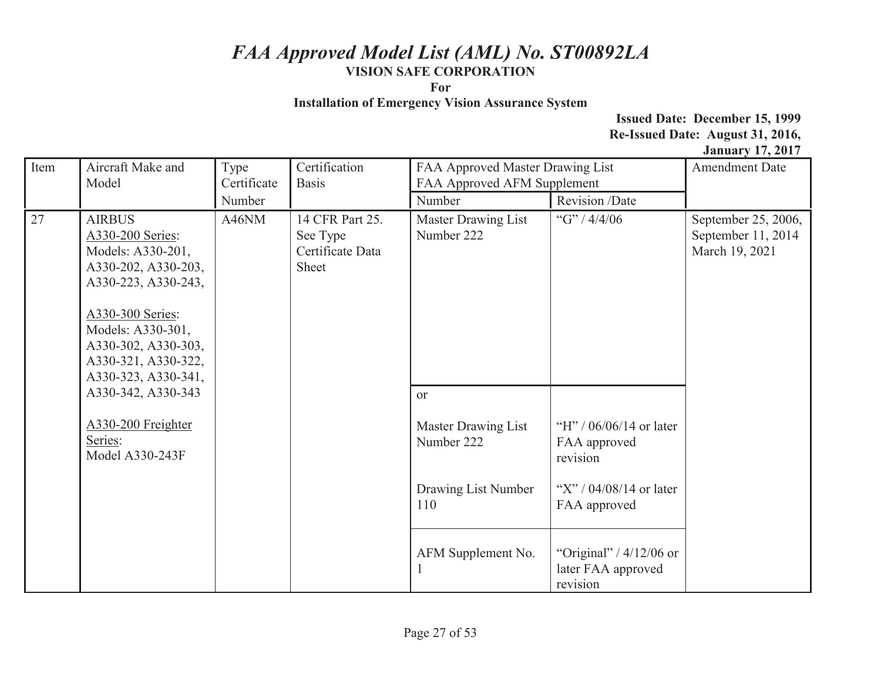**For** 

**Installation of Emergency Vision Assurance System** 

| Item | Aircraft Make and<br>Model                                                                                                                                                                                         | Type<br>Certificate        | Certification<br><b>Basis</b>       | FAA Approved Master Drawing List<br>FAA Approved AFM Supplement |                                                             | <b>Amendment Date</b>                                       |
|------|--------------------------------------------------------------------------------------------------------------------------------------------------------------------------------------------------------------------|----------------------------|-------------------------------------|-----------------------------------------------------------------|-------------------------------------------------------------|-------------------------------------------------------------|
|      |                                                                                                                                                                                                                    | Number                     |                                     | Number                                                          | Revision /Date                                              |                                                             |
| 27   | <b>AIRBUS</b><br>A330-200 Series:<br>Models: A330-201,<br>A330-202, A330-203,<br>A330-223, A330-243,<br>A330-300 Series:<br>Models: A330-301,<br>A330-302, A330-303,<br>A330-321, A330-322,<br>A330-323, A330-341, | A46NM<br>See Type<br>Sheet | 14 CFR Part 25.<br>Certificate Data | <b>Master Drawing List</b><br>Number 222                        | "G" / $4/4/06$                                              | September 25, 2006,<br>September 11, 2014<br>March 19, 2021 |
|      | A330-342, A330-343                                                                                                                                                                                                 |                            |                                     | <sub>or</sub>                                                   |                                                             |                                                             |
|      | A330-200 Freighter<br>Series:<br>Model A330-243F                                                                                                                                                                   |                            |                                     | <b>Master Drawing List</b><br>Number 222                        | "H" / $06/06/14$ or later<br>FAA approved<br>revision       |                                                             |
|      |                                                                                                                                                                                                                    |                            |                                     | Drawing List Number<br>110                                      | "X" / $04/08/14$ or later<br>FAA approved                   |                                                             |
|      |                                                                                                                                                                                                                    |                            |                                     | AFM Supplement No.                                              | "Original" / $4/12/06$ or<br>later FAA approved<br>revision |                                                             |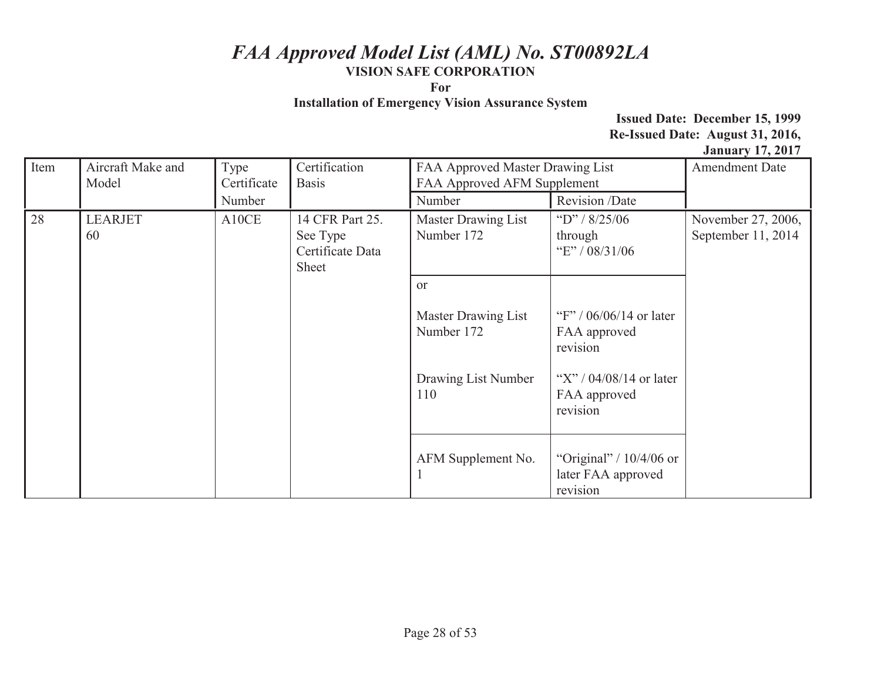**For** 

**Installation of Emergency Vision Assurance System** 

| Item     | Aircraft Make and<br>Model | Type<br>Certificate | Certification<br><b>Basis</b>                            | FAA Approved Master Drawing List<br>FAA Approved AFM Supplement                  |                                                                                                                | <b>Amendment Date</b>                    |
|----------|----------------------------|---------------------|----------------------------------------------------------|----------------------------------------------------------------------------------|----------------------------------------------------------------------------------------------------------------|------------------------------------------|
|          |                            | Number              |                                                          | Number                                                                           | Revision /Date                                                                                                 |                                          |
| 28<br>60 | <b>LEARJET</b>             | A10CE               | 14 CFR Part 25.<br>See Type<br>Certificate Data<br>Sheet | <b>Master Drawing List</b><br>Number 172                                         | "D" / $8/25/06$<br>through<br>"E" / 08/31/06                                                                   | November 27, 2006,<br>September 11, 2014 |
|          |                            |                     |                                                          | <sub>or</sub><br>Master Drawing List<br>Number 172<br>Drawing List Number<br>110 | "F" / $06/06/14$ or later<br>FAA approved<br>revision<br>"X" / $04/08/14$ or later<br>FAA approved<br>revision |                                          |
|          |                            |                     |                                                          | AFM Supplement No.                                                               | "Original" / $10/4/06$ or<br>later FAA approved<br>revision                                                    |                                          |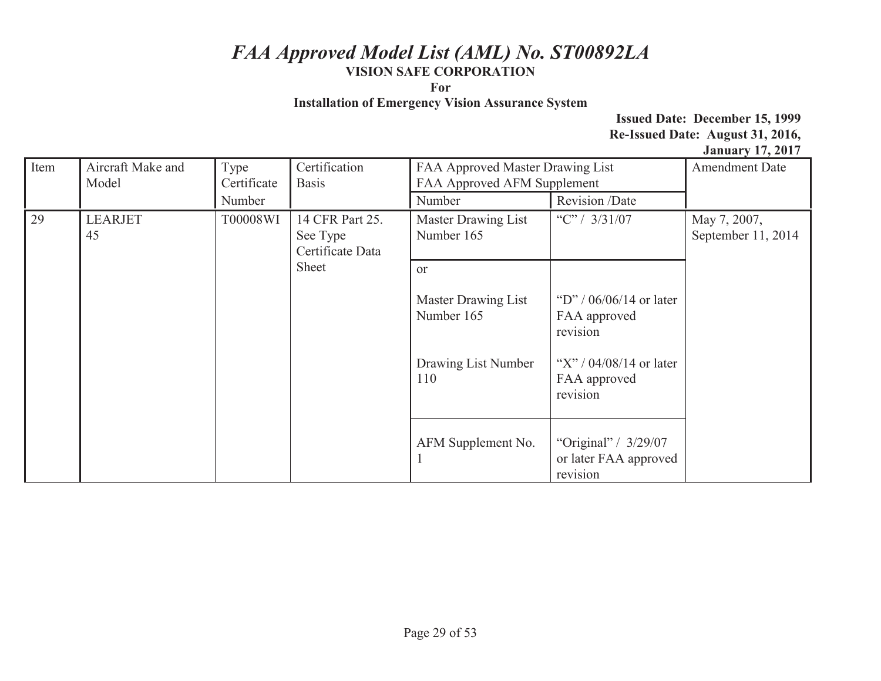**For** 

**Installation of Emergency Vision Assurance System** 

| Item | Aircraft Make and<br>Model                   | Type<br>Certificate<br>Number       | Certification<br><b>Basis</b>     | FAA Approved Master Drawing List<br>FAA Approved AFM Supplement<br>Revision /Date<br>Number |                                                                                                    | $\frac{1}{2}$ and $\frac{1}{2}$ and $\frac{1}{2}$ and $\frac{1}{2}$ and $\frac{1}{2}$ and $\frac{1}{2}$ and $\frac{1}{2}$ and $\frac{1}{2}$ and $\frac{1}{2}$ and $\frac{1}{2}$ and $\frac{1}{2}$ and $\frac{1}{2}$ and $\frac{1}{2}$ and $\frac{1}{2}$ and $\frac{1}{2}$ and $\frac{1}{2}$ a<br><b>Amendment Date</b> |
|------|----------------------------------------------|-------------------------------------|-----------------------------------|---------------------------------------------------------------------------------------------|----------------------------------------------------------------------------------------------------|------------------------------------------------------------------------------------------------------------------------------------------------------------------------------------------------------------------------------------------------------------------------------------------------------------------------|
| 29   | <b>LEARJET</b><br>T00008WI<br>45<br>See Type | 14 CFR Part 25.<br>Certificate Data | Master Drawing List<br>Number 165 | "C" / $3/31/07$                                                                             | May 7, 2007,<br>September 11, 2014                                                                 |                                                                                                                                                                                                                                                                                                                        |
|      |                                              |                                     | Sheet                             | <sub>or</sub><br>Master Drawing List<br>Number 165<br>Drawing List Number<br>110            | "D" / $06/06/14$ or later<br>FAA approved<br>revision<br>"X" / $04/08/14$ or later<br>FAA approved |                                                                                                                                                                                                                                                                                                                        |
|      |                                              |                                     |                                   | AFM Supplement No.                                                                          | revision<br>"Original" / 3/29/07<br>or later FAA approved<br>revision                              |                                                                                                                                                                                                                                                                                                                        |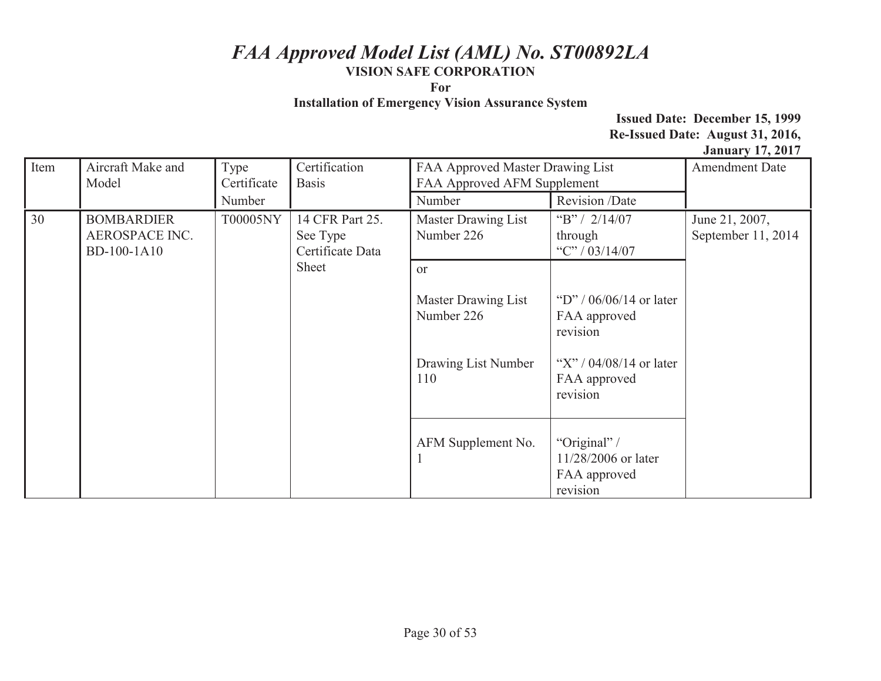**For** 

**Installation of Emergency Vision Assurance System** 

|                           |                                                 |                             |                                   |                                   |                                                                 | $\frac{1}{2}$ and $\frac{1}{2}$ and $\frac{1}{2}$ and $\frac{1}{2}$ and $\frac{1}{2}$ and $\frac{1}{2}$ and $\frac{1}{2}$ and $\frac{1}{2}$ and $\frac{1}{2}$ and $\frac{1}{2}$ and $\frac{1}{2}$ and $\frac{1}{2}$ and $\frac{1}{2}$ and $\frac{1}{2}$ and $\frac{1}{2}$ and $\frac{1}{2}$ a |
|---------------------------|-------------------------------------------------|-----------------------------|-----------------------------------|-----------------------------------|-----------------------------------------------------------------|-----------------------------------------------------------------------------------------------------------------------------------------------------------------------------------------------------------------------------------------------------------------------------------------------|
| Item<br>Aircraft Make and |                                                 | Type                        | Certification                     | FAA Approved Master Drawing List  |                                                                 | <b>Amendment Date</b>                                                                                                                                                                                                                                                                         |
|                           | Model                                           | Certificate                 | <b>Basis</b>                      | FAA Approved AFM Supplement       |                                                                 |                                                                                                                                                                                                                                                                                               |
|                           |                                                 | Number                      |                                   | Number                            | Revision /Date                                                  |                                                                                                                                                                                                                                                                                               |
| 30                        | T00005NY<br><b>BOMBARDIER</b><br>AEROSPACE INC. | 14 CFR Part 25.<br>See Type | Master Drawing List<br>Number 226 | "B" / $2/14/07$<br>through        | June 21, 2007,<br>September 11, 2014                            |                                                                                                                                                                                                                                                                                               |
|                           | BD-100-1A10                                     |                             | Certificate Data                  |                                   | "C" / $03/14/07$                                                |                                                                                                                                                                                                                                                                                               |
|                           | Sheet                                           | <sub>or</sub>               |                                   |                                   |                                                                 |                                                                                                                                                                                                                                                                                               |
|                           |                                                 |                             |                                   | Master Drawing List<br>Number 226 | "D" / $06/06/14$ or later<br>FAA approved<br>revision           |                                                                                                                                                                                                                                                                                               |
|                           |                                                 |                             |                                   | Drawing List Number<br>110        | "X" / $04/08/14$ or later<br>FAA approved<br>revision           |                                                                                                                                                                                                                                                                                               |
|                           |                                                 |                             |                                   | AFM Supplement No.                | "Original" /<br>11/28/2006 or later<br>FAA approved<br>revision |                                                                                                                                                                                                                                                                                               |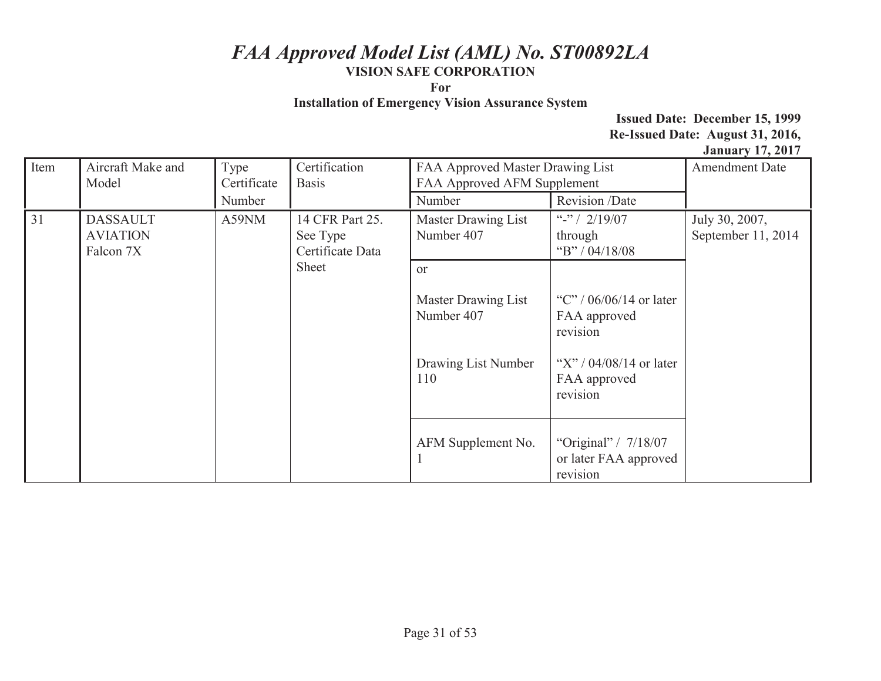**For** 

**Installation of Emergency Vision Assurance System** 

| Item | Aircraft Make and            | Type        | Certification                |                                                                 |                                                           | $3.444$ and $7.44$ and $7.44$ and $7.44$ and $7.44$ and $7.44$ and $7.44$ and $7.44$ and $7.44$ and $7.44$ and $7.44$ and $7.44$ and $7.44$ and $7.44$ and $7.44$ and $7.44$ and $7.44$ and $7.44$ and $7.44$ and $7.44$ and<br><b>Amendment Date</b> |
|------|------------------------------|-------------|------------------------------|-----------------------------------------------------------------|-----------------------------------------------------------|-------------------------------------------------------------------------------------------------------------------------------------------------------------------------------------------------------------------------------------------------------|
|      |                              |             |                              | FAA Approved Master Drawing List<br>FAA Approved AFM Supplement |                                                           |                                                                                                                                                                                                                                                       |
|      | Model                        | Certificate | <b>Basis</b>                 |                                                                 |                                                           |                                                                                                                                                                                                                                                       |
|      |                              | Number      |                              | Number                                                          | Revision /Date                                            |                                                                                                                                                                                                                                                       |
| 31   | <b>DASSAULT</b>              | A59NM       | 14 CFR Part 25.              | Master Drawing List                                             | "-" / $2/19/07$                                           | July 30, 2007,                                                                                                                                                                                                                                        |
|      | <b>AVIATION</b><br>Falcon 7X |             | See Type<br>Certificate Data | Number 407                                                      | through<br>"B" / $04/18/08$                               | September 11, 2014                                                                                                                                                                                                                                    |
|      | Sheet                        |             | <b>or</b>                    |                                                                 |                                                           |                                                                                                                                                                                                                                                       |
|      |                              |             |                              | Master Drawing List<br>Number 407                               | "C" / $06/06/14$ or later<br>FAA approved<br>revision     |                                                                                                                                                                                                                                                       |
|      |                              |             |                              | Drawing List Number<br>110                                      | "X" / $04/08/14$ or later<br>FAA approved<br>revision     |                                                                                                                                                                                                                                                       |
|      |                              |             |                              | AFM Supplement No.                                              | "Original" / 7/18/07<br>or later FAA approved<br>revision |                                                                                                                                                                                                                                                       |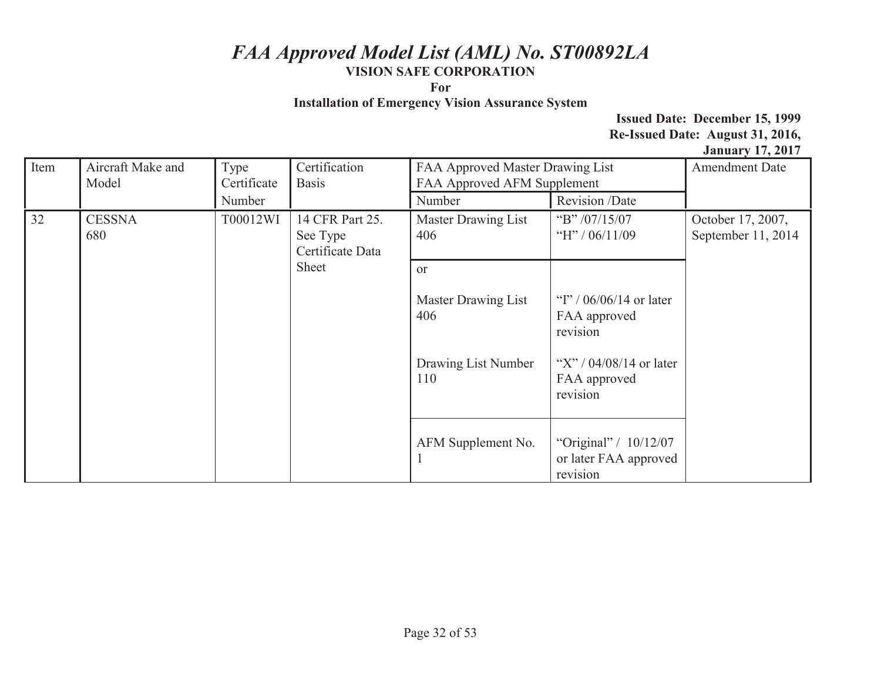**For** 

**Installation of Emergency Vision Assurance System** 

|      |                                                                                              |                                   |                                                                                                  |                                         |                                                              | $v$ unuury 1794017 |
|------|----------------------------------------------------------------------------------------------|-----------------------------------|--------------------------------------------------------------------------------------------------|-----------------------------------------|--------------------------------------------------------------|--------------------|
| Item | Aircraft Make and<br>Model                                                                   | Type<br>Certificate               | Certification<br>FAA Approved Master Drawing List<br>FAA Approved AFM Supplement<br><b>Basis</b> |                                         | <b>Amendment Date</b>                                        |                    |
|      |                                                                                              | Number                            |                                                                                                  | Number                                  | Revision /Date                                               |                    |
| 32   | <b>CESSNA</b><br>T00012WI<br>14 CFR Part 25.<br>680<br>See Type<br>Certificate Data<br>Sheet | <b>Master Drawing List</b><br>406 | "B" $/07/15/07$<br>"H" / $06/11/09$                                                              | October 17, 2007,<br>September 11, 2014 |                                                              |                    |
|      |                                                                                              |                                   | <b>or</b>                                                                                        |                                         |                                                              |                    |
|      |                                                                                              |                                   |                                                                                                  | Master Drawing List<br>406              | "I" / $06/06/14$ or later<br>FAA approved<br>revision        |                    |
|      |                                                                                              |                                   |                                                                                                  | Drawing List Number<br>110              | "X" / $04/08/14$ or later<br>FAA approved<br>revision        |                    |
|      |                                                                                              |                                   |                                                                                                  | AFM Supplement No.                      | "Original" / $10/12/07$<br>or later FAA approved<br>revision |                    |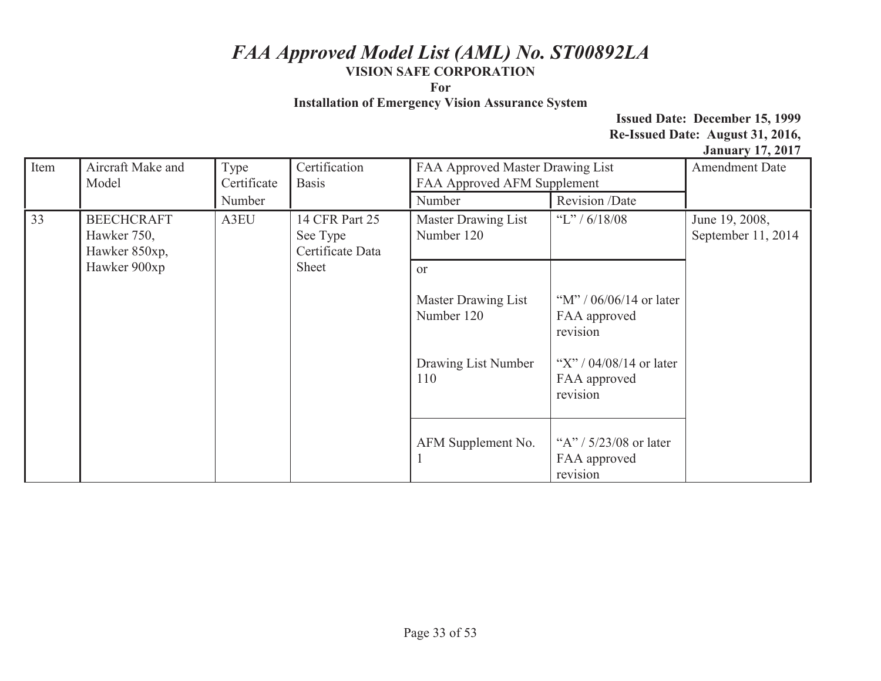**For** 

**Installation of Emergency Vision Assurance System** 

| Item | Aircraft Make and                                                                                           | Type                              | Certification   | FAA Approved Master Drawing List     |                                                       | <b>Amendment Date</b> |
|------|-------------------------------------------------------------------------------------------------------------|-----------------------------------|-----------------|--------------------------------------|-------------------------------------------------------|-----------------------|
|      | Model                                                                                                       | Certificate                       | <b>Basis</b>    | FAA Approved AFM Supplement          |                                                       |                       |
|      |                                                                                                             | Number                            |                 | Number                               | Revision /Date                                        |                       |
| 33   | A3EU<br><b>BEECHCRAFT</b><br>14 CFR Part 25<br>Hawker 750,<br>See Type<br>Certificate Data<br>Hawker 850xp, | Master Drawing List<br>Number 120 | "L" / $6/18/08$ | June 19, 2008,<br>September 11, 2014 |                                                       |                       |
|      | Hawker 900xp                                                                                                |                                   | Sheet           | or                                   |                                                       |                       |
|      |                                                                                                             |                                   |                 | Master Drawing List<br>Number 120    | "M" / $06/06/14$ or later<br>FAA approved<br>revision |                       |
|      |                                                                                                             |                                   |                 | Drawing List Number<br>110           | "X" / $04/08/14$ or later<br>FAA approved<br>revision |                       |
|      |                                                                                                             |                                   |                 | AFM Supplement No.                   | "A" / $5/23/08$ or later<br>FAA approved<br>revision  |                       |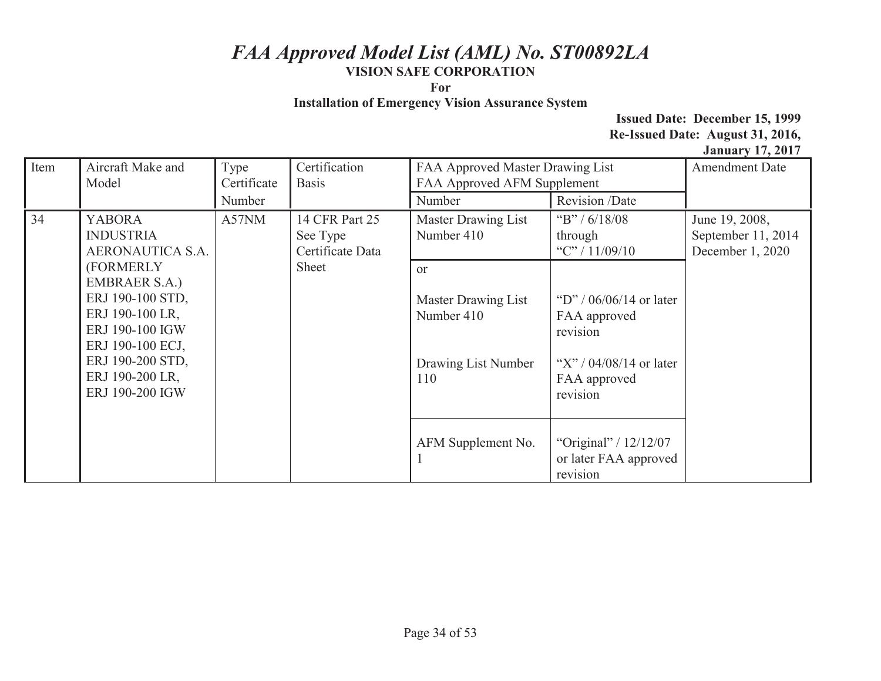**For** 

**Installation of Emergency Vision Assurance System** 

| Item | Aircraft Make and<br>Model                                                                                                                                                | Type<br>Certificate | Certification<br><b>Basis</b>                  | FAA Approved Master Drawing List<br>FAA Approved AFM Supplement                  |                                                                                                                | <b>Amendment Date</b>                                    |
|------|---------------------------------------------------------------------------------------------------------------------------------------------------------------------------|---------------------|------------------------------------------------|----------------------------------------------------------------------------------|----------------------------------------------------------------------------------------------------------------|----------------------------------------------------------|
|      |                                                                                                                                                                           | Number              |                                                | Number                                                                           | Revision /Date                                                                                                 |                                                          |
| 34   | <b>YABORA</b><br><b>INDUSTRIA</b><br>AERONAUTICA S.A.                                                                                                                     | A57NM               | 14 CFR Part 25<br>See Type<br>Certificate Data | Master Drawing List<br>Number 410                                                | "B" / $6/18/08$<br>through<br>"C" / $11/09/10$                                                                 | June 19, 2008,<br>September 11, 2014<br>December 1, 2020 |
|      | (FORMERLY<br><b>EMBRAER S.A.)</b><br>ERJ 190-100 STD,<br>ERJ 190-100 LR,<br>ERJ 190-100 IGW<br>ERJ 190-100 ECJ,<br>ERJ 190-200 STD,<br>ERJ 190-200 LR,<br>ERJ 190-200 IGW |                     | Sheet                                          | <sub>or</sub><br>Master Drawing List<br>Number 410<br>Drawing List Number<br>110 | "D" / $06/06/14$ or later<br>FAA approved<br>revision<br>"X" / $04/08/14$ or later<br>FAA approved<br>revision |                                                          |
|      |                                                                                                                                                                           |                     |                                                | AFM Supplement No.                                                               | "Original" / $12/12/07$<br>or later FAA approved<br>revision                                                   |                                                          |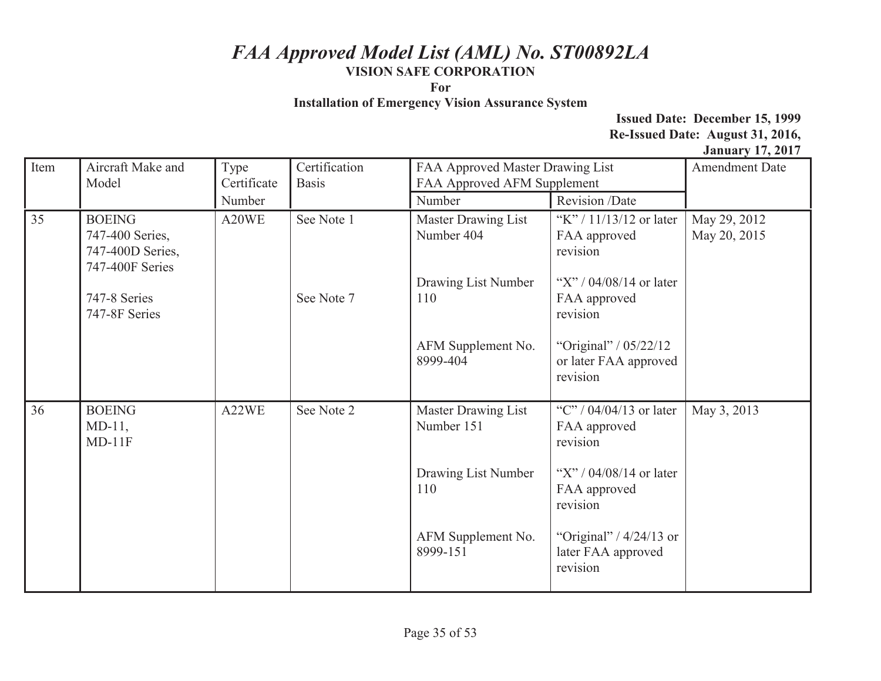**For** 

**Installation of Emergency Vision Assurance System** 

| Item | Aircraft Make and                                                       | Type        | Certification | FAA Approved Master Drawing List  |                                                             | <b>Amendment Date</b>        |
|------|-------------------------------------------------------------------------|-------------|---------------|-----------------------------------|-------------------------------------------------------------|------------------------------|
|      | Model                                                                   | Certificate | <b>Basis</b>  | FAA Approved AFM Supplement       |                                                             |                              |
|      |                                                                         | Number      |               | Number                            | Revision /Date                                              |                              |
| 35   | <b>BOEING</b><br>747-400 Series,<br>747-400D Series,<br>747-400F Series | A20WE       | See Note 1    | Master Drawing List<br>Number 404 | "K" / 11/13/12 or later<br>FAA approved<br>revision         | May 29, 2012<br>May 20, 2015 |
|      | 747-8 Series<br>747-8F Series                                           |             | See Note 7    | Drawing List Number<br>110        | "X" / $04/08/14$ or later<br>FAA approved<br>revision       |                              |
|      |                                                                         |             |               | AFM Supplement No.<br>8999-404    | "Original" / 05/22/12<br>or later FAA approved<br>revision  |                              |
| 36   | <b>BOEING</b><br>$MD-11$ ,<br>$MD-11F$                                  | A22WE       | See Note 2    | Master Drawing List<br>Number 151 | "C" / 04/04/13 or later<br>FAA approved<br>revision         | May 3, 2013                  |
|      |                                                                         |             |               | Drawing List Number<br>110        | "X" / $04/08/14$ or later<br>FAA approved<br>revision       |                              |
|      |                                                                         |             |               | AFM Supplement No.<br>8999-151    | "Original" / $4/24/13$ or<br>later FAA approved<br>revision |                              |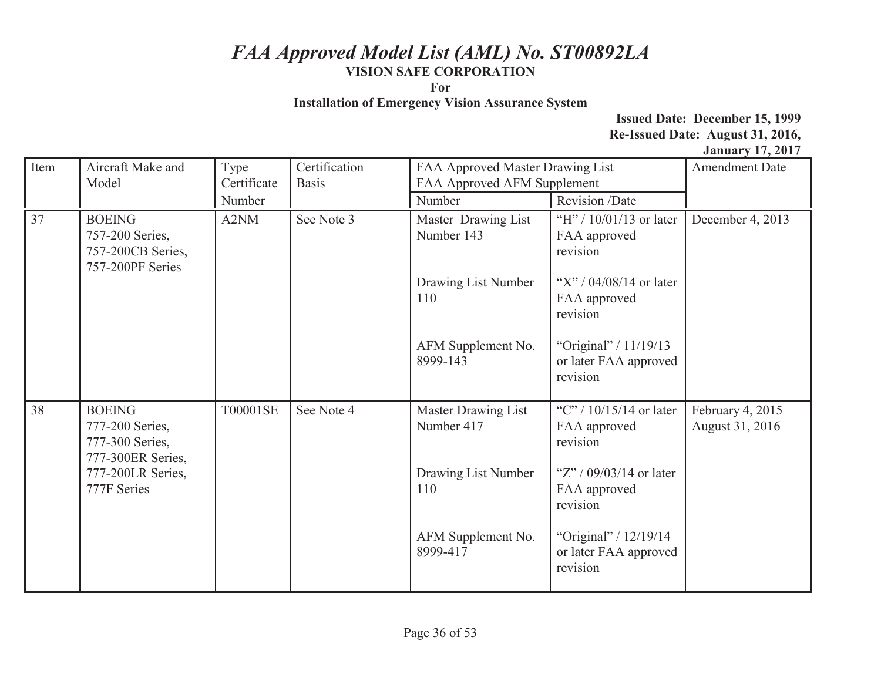**For** 

**Installation of Emergency Vision Assurance System** 

| Item | Aircraft Make and                                                         | Type        | Certification | FAA Approved Master Drawing List  |                                                              | <b>Amendment Date</b>               |
|------|---------------------------------------------------------------------------|-------------|---------------|-----------------------------------|--------------------------------------------------------------|-------------------------------------|
|      | Model                                                                     | Certificate | <b>Basis</b>  | FAA Approved AFM Supplement       |                                                              |                                     |
|      |                                                                           | Number      |               | Number                            | Revision /Date                                               |                                     |
| 37   | <b>BOEING</b><br>757-200 Series,<br>757-200CB Series,<br>757-200PF Series | A2NM        | See Note 3    | Master Drawing List<br>Number 143 | "H" / $10/01/13$ or later<br>FAA approved<br>revision        | December 4, 2013                    |
|      |                                                                           |             |               | Drawing List Number<br>110        | "X" / $04/08/14$ or later<br>FAA approved<br>revision        |                                     |
|      |                                                                           |             |               | AFM Supplement No.<br>8999-143    | "Original" / 11/19/13<br>or later FAA approved<br>revision   |                                     |
| 38   | <b>BOEING</b><br>777-200 Series,<br>777-300 Series,<br>777-300ER Series,  | T00001SE    | See Note 4    | Master Drawing List<br>Number 417 | "C" / $10/15/14$ or later<br>FAA approved<br>revision        | February 4, 2015<br>August 31, 2016 |
|      | 777-200LR Series,<br>777F Series                                          |             |               | Drawing List Number<br>110        | "Z" / $09/03/14$ or later<br>FAA approved<br>revision        |                                     |
|      |                                                                           |             |               | AFM Supplement No.<br>8999-417    | "Original" / $12/19/14$<br>or later FAA approved<br>revision |                                     |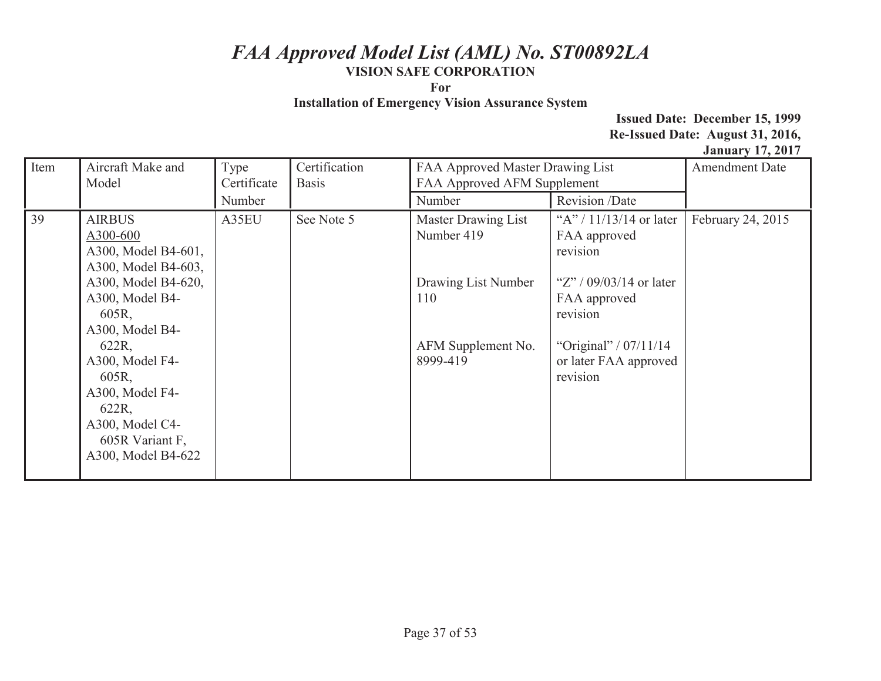**For** 

**Installation of Emergency Vision Assurance System** 

| Item | Aircraft Make and<br>Model | Type<br>Certificate | Certification<br><b>Basis</b> | FAA Approved Master Drawing List<br>FAA Approved AFM Supplement |                           | <b>Amendment Date</b> |
|------|----------------------------|---------------------|-------------------------------|-----------------------------------------------------------------|---------------------------|-----------------------|
|      |                            |                     |                               |                                                                 |                           |                       |
|      |                            | Number              |                               | Number                                                          | Revision /Date            |                       |
| 39   | <b>AIRBUS</b>              | A35EU               | See Note 5                    | Master Drawing List                                             | "A" / $11/13/14$ or later | February 24, 2015     |
|      | A300-600                   |                     |                               | Number 419                                                      | FAA approved              |                       |
|      | A300, Model B4-601,        |                     |                               |                                                                 | revision                  |                       |
|      | A300, Model B4-603,        |                     |                               |                                                                 |                           |                       |
|      | A300, Model B4-620,        |                     |                               | Drawing List Number                                             | "Z" / $09/03/14$ or later |                       |
|      | A300, Model B4-            |                     |                               | 110                                                             | FAA approved              |                       |
|      | 605R,                      |                     |                               |                                                                 | revision                  |                       |
|      | A300, Model B4-            |                     |                               |                                                                 |                           |                       |
|      | 622R,                      |                     |                               | AFM Supplement No.                                              | "Original" / 07/11/14     |                       |
|      | A300, Model F4-            |                     |                               | 8999-419                                                        | or later FAA approved     |                       |
|      | 605R,                      |                     |                               |                                                                 | revision                  |                       |
|      | A300, Model F4-            |                     |                               |                                                                 |                           |                       |
|      | 622R,                      |                     |                               |                                                                 |                           |                       |
|      | A300, Model C4-            |                     |                               |                                                                 |                           |                       |
|      | 605R Variant F,            |                     |                               |                                                                 |                           |                       |
|      | A300, Model B4-622         |                     |                               |                                                                 |                           |                       |
|      |                            |                     |                               |                                                                 |                           |                       |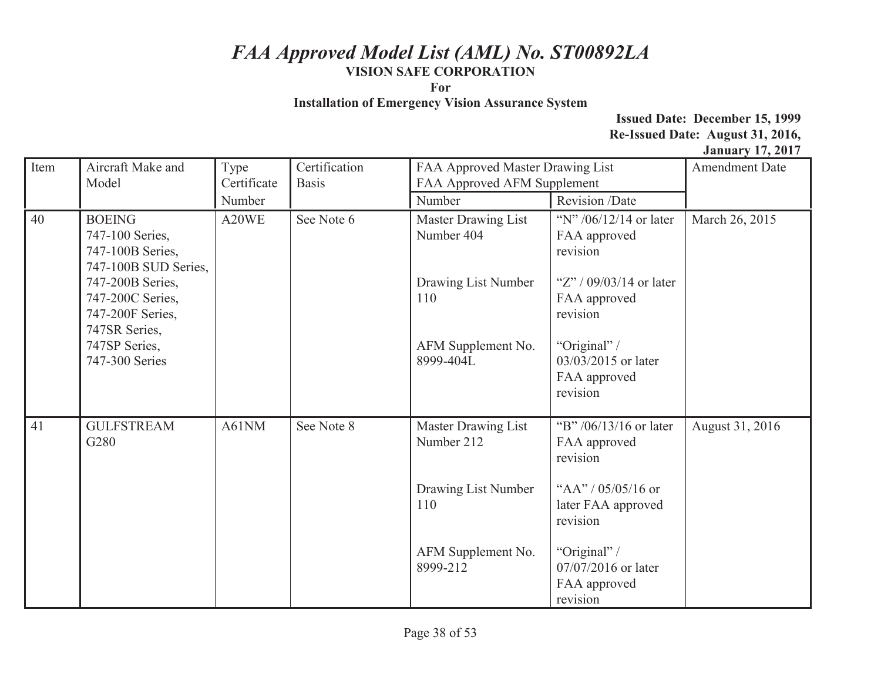**For** 

**Installation of Emergency Vision Assurance System** 

| Item | Aircraft Make and<br>Model                                                                                                                                                                   | Type<br>Certificate | Certification<br><b>Basis</b> | FAA Approved Master Drawing List<br>FAA Approved AFM Supplement                                          |                                                                                                                                                                                  | <b>Amendment Date</b> |
|------|----------------------------------------------------------------------------------------------------------------------------------------------------------------------------------------------|---------------------|-------------------------------|----------------------------------------------------------------------------------------------------------|----------------------------------------------------------------------------------------------------------------------------------------------------------------------------------|-----------------------|
|      |                                                                                                                                                                                              | Number              |                               | Number                                                                                                   | Revision /Date                                                                                                                                                                   |                       |
| 40   | <b>BOEING</b><br>747-100 Series,<br>747-100B Series,<br>747-100B SUD Series,<br>747-200B Series,<br>747-200C Series,<br>747-200F Series,<br>747SR Series,<br>747SP Series,<br>747-300 Series | A20WE               | See Note 6                    | Master Drawing List<br>Number 404<br>Drawing List Number<br>110<br>AFM Supplement No.<br>8999-404L       | "N" $/06/12/14$ or later<br>FAA approved<br>revision<br>"Z" / $09/03/14$ or later<br>FAA approved<br>revision<br>"Original" /<br>03/03/2015 or later<br>FAA approved<br>revision | March 26, 2015        |
| 41   | <b>GULFSTREAM</b><br>G280                                                                                                                                                                    | A61NM               | See Note 8                    | <b>Master Drawing List</b><br>Number 212<br>Drawing List Number<br>110<br>AFM Supplement No.<br>8999-212 | "B" /06/13/16 or later<br>FAA approved<br>revision<br>"AA" / $05/05/16$ or<br>later FAA approved<br>revision<br>"Original" /<br>07/07/2016 or later<br>FAA approved<br>revision  | August 31, 2016       |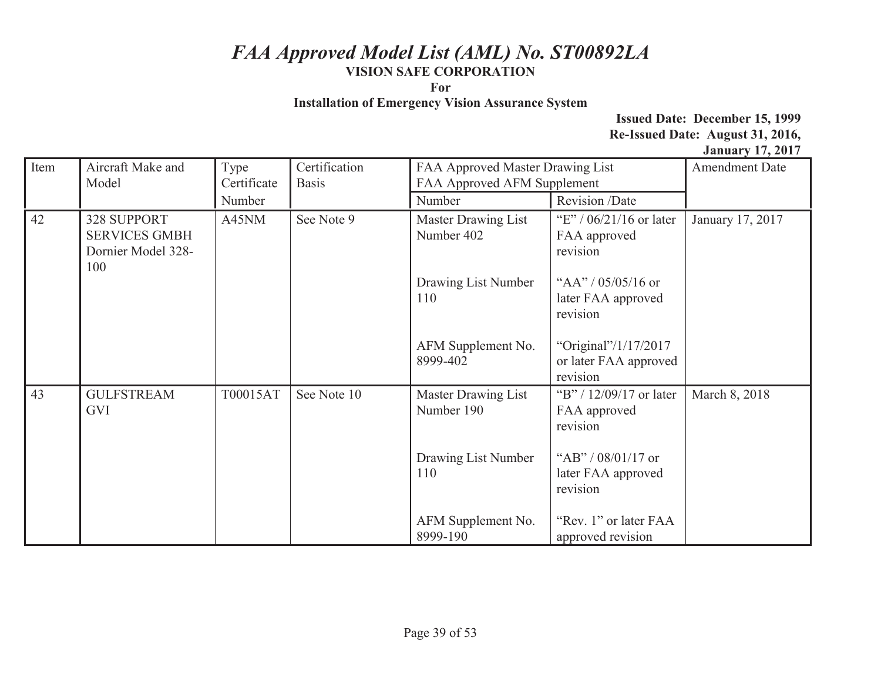**For** 

**Installation of Emergency Vision Assurance System** 

| Item | Aircraft Make and<br>Model                                       | Certification<br>FAA Approved Master Drawing List<br>Type<br>FAA Approved AFM Supplement<br>Certificate<br><b>Basis</b> |             |                                          | <b>Amendment Date</b>                                     |                  |
|------|------------------------------------------------------------------|-------------------------------------------------------------------------------------------------------------------------|-------------|------------------------------------------|-----------------------------------------------------------|------------------|
|      |                                                                  | Number                                                                                                                  |             | Number                                   | Revision /Date                                            |                  |
| 42   | 328 SUPPORT<br><b>SERVICES GMBH</b><br>Dornier Model 328-<br>100 | A45NM                                                                                                                   | See Note 9  | Master Drawing List<br>Number 402        | "E" / $06/21/16$ or later<br>FAA approved<br>revision     | January 17, 2017 |
|      |                                                                  |                                                                                                                         |             | Drawing List Number<br>110               | "AA" / $05/05/16$ or<br>later FAA approved<br>revision    |                  |
|      |                                                                  |                                                                                                                         |             | AFM Supplement No.<br>8999-402           | "Original"/1/17/2017<br>or later FAA approved<br>revision |                  |
| 43   | <b>GULFSTREAM</b><br>GVI                                         | T00015AT                                                                                                                | See Note 10 | <b>Master Drawing List</b><br>Number 190 | "B" / 12/09/17 or later<br>FAA approved<br>revision       | March 8, 2018    |
|      |                                                                  |                                                                                                                         |             | Drawing List Number<br>110               | "AB" / $08/01/17$ or<br>later FAA approved<br>revision    |                  |
|      |                                                                  |                                                                                                                         |             | AFM Supplement No.<br>8999-190           | "Rev. 1" or later FAA<br>approved revision                |                  |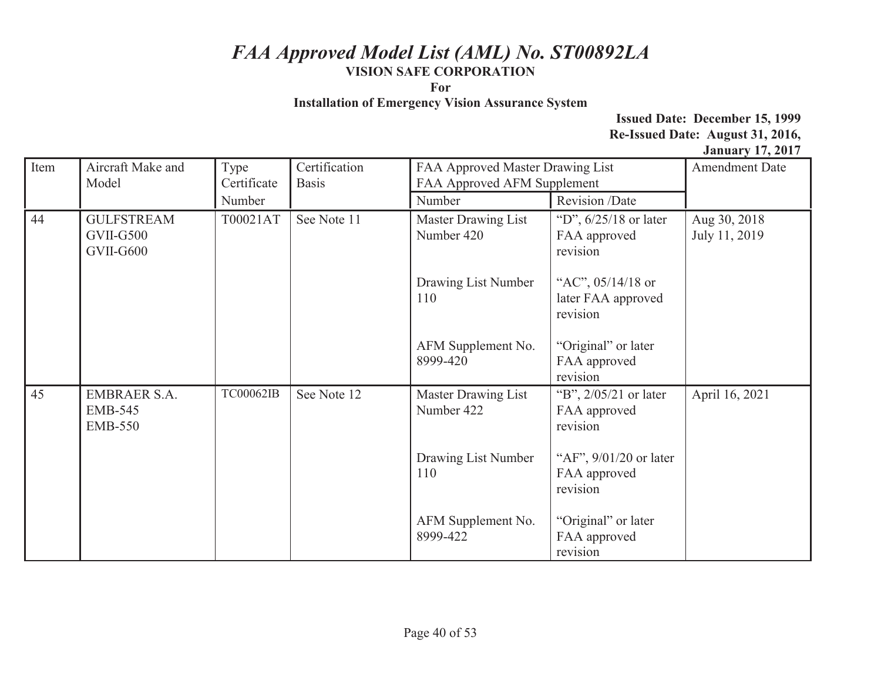**For** 

**Installation of Emergency Vision Assurance System** 

| Item | Aircraft Make and<br>Model                              | Type<br>Certificate | Certification<br><b>Basis</b> | FAA Approved Master Drawing List<br>FAA Approved AFM Supplement |                                                      | <b>Amendment Date</b>         |
|------|---------------------------------------------------------|---------------------|-------------------------------|-----------------------------------------------------------------|------------------------------------------------------|-------------------------------|
|      |                                                         | Number              |                               | Number                                                          | Revision /Date                                       |                               |
| 44   | <b>GULFSTREAM</b><br>GVII-G500<br>GVII-G600             | T00021AT            | See Note 11                   | Master Drawing List<br>Number 420                               | "D", $6/25/18$ or later<br>FAA approved<br>revision  | Aug 30, 2018<br>July 11, 2019 |
|      |                                                         |                     |                               | Drawing List Number<br>110                                      | "AC", 05/14/18 or<br>later FAA approved<br>revision  |                               |
|      |                                                         |                     |                               | AFM Supplement No.<br>8999-420                                  | "Original" or later<br>FAA approved<br>revision      |                               |
| 45   | <b>EMBRAER S.A.</b><br><b>EMB-545</b><br><b>EMB-550</b> | TC00062IB           | See Note 12                   | <b>Master Drawing List</b><br>Number 422                        | "B", 2/05/21 or later<br>FAA approved<br>revision    | April 16, 2021                |
|      |                                                         |                     |                               | Drawing List Number<br>110                                      | "AF", $9/01/20$ or later<br>FAA approved<br>revision |                               |
|      |                                                         |                     |                               | AFM Supplement No.<br>8999-422                                  | "Original" or later<br>FAA approved<br>revision      |                               |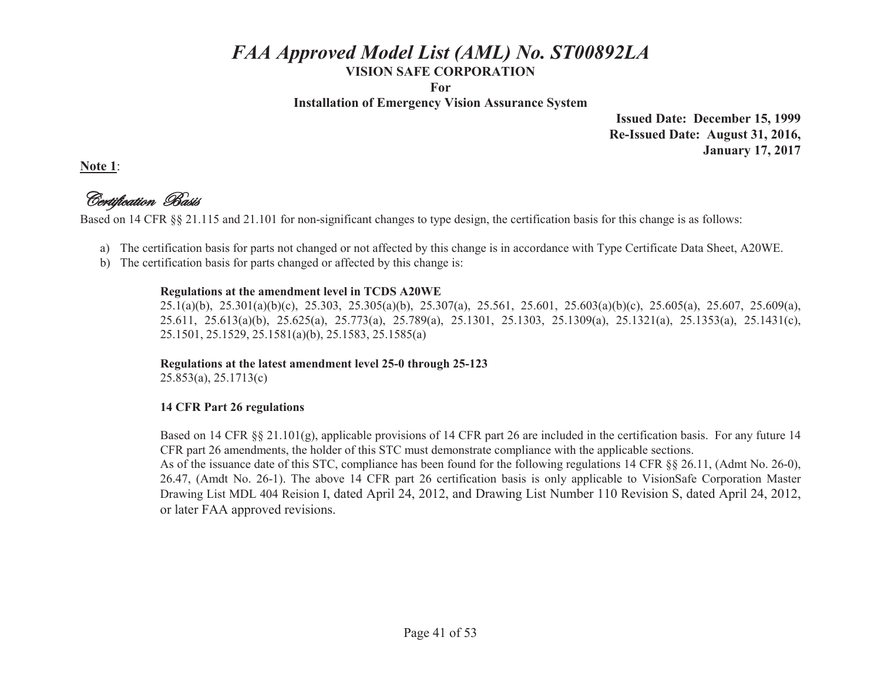**For** 

**Installation of Emergency Vision Assurance System** 

**Issued Date: December 15, 1999 Re-Issued Date: August 31, 2016, January 17, 2017** 

**Note 1**:

Certification Basis

Based on 14 CFR §§ 21.115 and 21.101 for non-significant changes to type design, the certification basis for this change is as follows:

- a) The certification basis for parts not changed or not affected by this change is in accordance with Type Certificate Data Sheet, A20WE.
- b) The certification basis for parts changed or affected by this change is:

#### **Regulations at the amendment level in TCDS A20WE**

25.1(a)(b), 25.301(a)(b)(c), 25.303, 25.305(a)(b), 25.307(a), 25.561, 25.601, 25.603(a)(b)(c), 25.605(a), 25.607, 25.609(a), 25.611, 25.613(a)(b), 25.625(a), 25.773(a), 25.789(a), 25.1301, 25.1303, 25.1309(a), 25.1321(a), 25.1353(a), 25.1431(c), 25.1501, 25.1529, 25.1581(a)(b), 25.1583, 25.1585(a)

### **Regulations at the latest amendment level 25-0 through 25-123**

25.853(a), 25.1713(c)

#### **14 CFR Part 26 regulations**

Based on 14 CFR §§ 21.101(g), applicable provisions of 14 CFR part 26 are included in the certification basis. For any future 14 CFR part 26 amendments, the holder of this STC must demonstrate compliance with the applicable sections.

As of the issuance date of this STC, compliance has been found for the following regulations 14 CFR §§ 26.11, (Admt No. 26-0), 26.47, (Amdt No. 26-1). The above 14 CFR part 26 certification basis is only applicable to VisionSafe Corporation Master Drawing List MDL 404 Reision I, dated April 24, 2012, and Drawing List Number 110 Revision S, dated April 24, 2012, or later FAA approved revisions.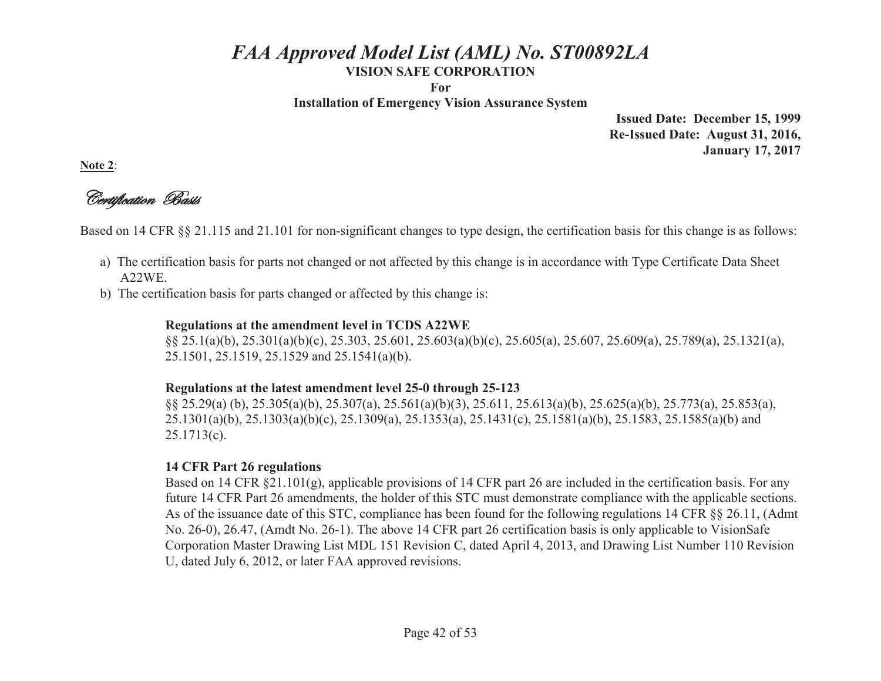**For** 

**Installation of Emergency Vision Assurance System** 

**Issued Date: December 15, 1999 Re-Issued Date: August 31, 2016, January 17, 2017** 

**Note 2**:

Certification Basis

Based on 14 CFR §§ 21.115 and 21.101 for non-significant changes to type design, the certification basis for this change is as follows:

- a) The certification basis for parts not changed or not affected by this change is in accordance with Type Certificate Data Sheet A22WE.
- b) The certification basis for parts changed or affected by this change is:

#### **Regulations at the amendment level in TCDS A22WE**

 §§ 25.1(a)(b), 25.301(a)(b)(c), 25.303, 25.601, 25.603(a)(b)(c), 25.605(a), 25.607, 25.609(a), 25.789(a), 25.1321(a), 25.1501, 25.1519, 25.1529 and 25.1541(a)(b).

#### **Regulations at the latest amendment level 25-0 through 25-123**

 §§ 25.29(a) (b), 25.305(a)(b), 25.307(a), 25.561(a)(b)(3), 25.611, 25.613(a)(b), 25.625(a)(b), 25.773(a), 25.853(a), 25.1301(a)(b), 25.1303(a)(b)(c), 25.1309(a), 25.1353(a), 25.1431(c), 25.1581(a)(b), 25.1583, 25.1585(a)(b) and 25.1713(c).

### **14 CFR Part 26 regulations**

 Based on 14 CFR §21.101(g), applicable provisions of 14 CFR part 26 are included in the certification basis. For any future 14 CFR Part 26 amendments, the holder of this STC must demonstrate compliance with the applicable sections. As of the issuance date of this STC, compliance has been found for the following regulations 14 CFR §§ 26.11, (Admt No. 26-0), 26.47, (Amdt No. 26-1). The above 14 CFR part 26 certification basis is only applicable to VisionSafe Corporation Master Drawing List MDL 151 Revision C, dated April 4, 2013, and Drawing List Number 110 Revision U, dated July 6, 2012, or later FAA approved revisions.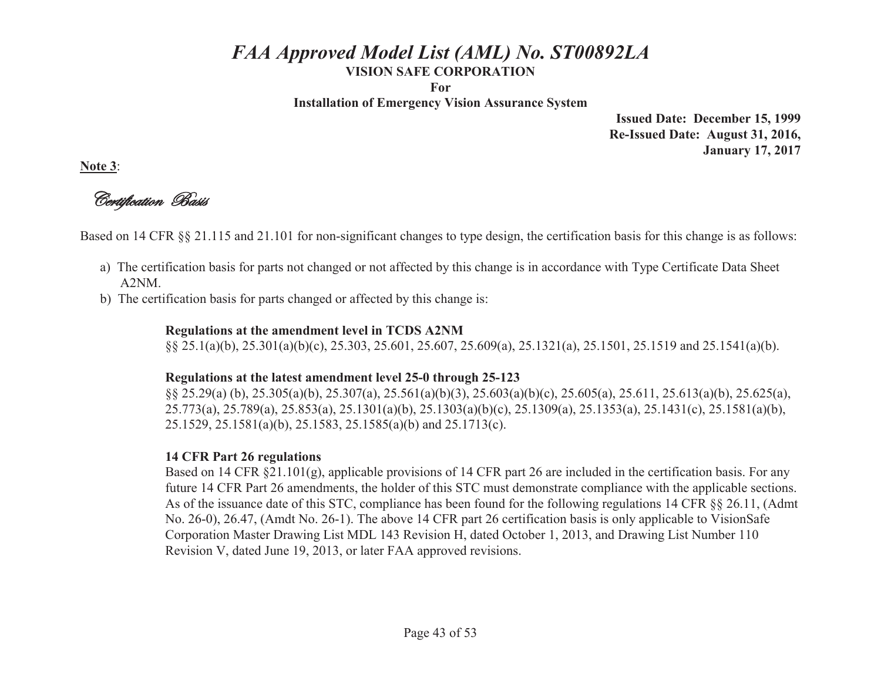**For** 

**Installation of Emergency Vision Assurance System** 

**Issued Date: December 15, 1999 Re-Issued Date: August 31, 2016, January 17, 2017** 

**Note 3**:

Certification Basis

Based on 14 CFR §§ 21.115 and 21.101 for non-significant changes to type design, the certification basis for this change is as follows:

- a) The certification basis for parts not changed or not affected by this change is in accordance with Type Certificate Data Sheet A2NM.
- b) The certification basis for parts changed or affected by this change is:

#### **Regulations at the amendment level in TCDS A2NM**

§§ 25.1(a)(b), 25.301(a)(b)(c), 25.303, 25.601, 25.607, 25.609(a), 25.1321(a), 25.1501, 25.1519 and 25.1541(a)(b).

#### **Regulations at the latest amendment level 25-0 through 25-123**

 §§ 25.29(a) (b), 25.305(a)(b), 25.307(a), 25.561(a)(b)(3), 25.603(a)(b)(c), 25.605(a), 25.611, 25.613(a)(b), 25.625(a), 25.773(a), 25.789(a), 25.853(a), 25.1301(a)(b), 25.1303(a)(b)(c), 25.1309(a), 25.1353(a), 25.1431(c), 25.1581(a)(b), 25.1529, 25.1581(a)(b), 25.1583, 25.1585(a)(b) and 25.1713(c).

#### **14 CFR Part 26 regulations**

 Based on 14 CFR §21.101(g), applicable provisions of 14 CFR part 26 are included in the certification basis. For any future 14 CFR Part 26 amendments, the holder of this STC must demonstrate compliance with the applicable sections. As of the issuance date of this STC, compliance has been found for the following regulations 14 CFR §§ 26.11, (Admt No. 26-0), 26.47, (Amdt No. 26-1). The above 14 CFR part 26 certification basis is only applicable to VisionSafe Corporation Master Drawing List MDL 143 Revision H, dated October 1, 2013, and Drawing List Number 110 Revision V, dated June 19, 2013, or later FAA approved revisions.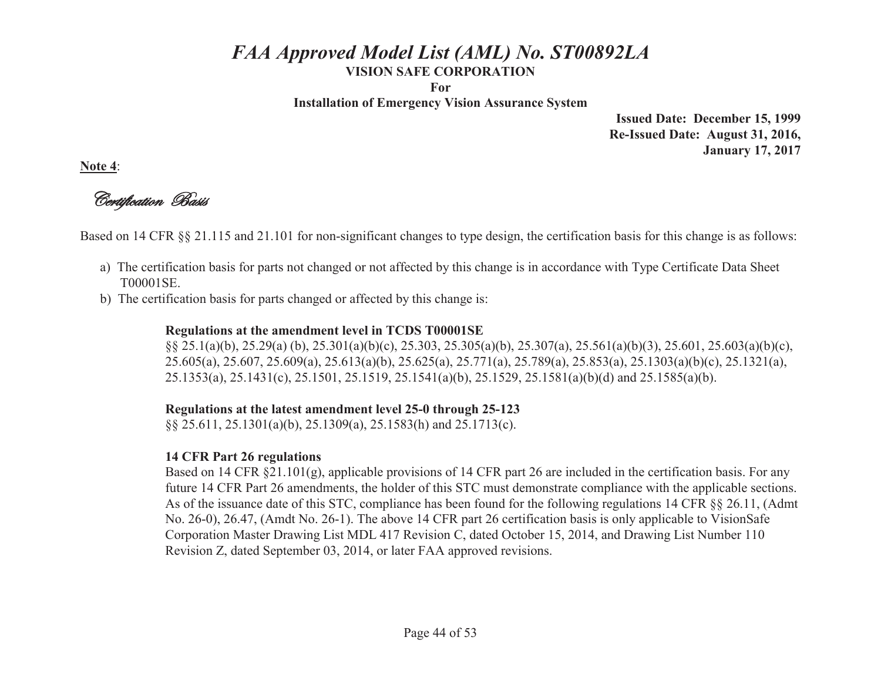**For** 

**Installation of Emergency Vision Assurance System** 

**Issued Date: December 15, 1999 Re-Issued Date: August 31, 2016, January 17, 2017** 

**Note 4**:

Certification Basis

Based on 14 CFR §§ 21.115 and 21.101 for non-significant changes to type design, the certification basis for this change is as follows:

- a) The certification basis for parts not changed or not affected by this change is in accordance with Type Certificate Data Sheet T00001SE.
- b) The certification basis for parts changed or affected by this change is:

### **Regulations at the amendment level in TCDS T00001SE**

 §§ 25.1(a)(b), 25.29(a) (b), 25.301(a)(b)(c), 25.303, 25.305(a)(b), 25.307(a), 25.561(a)(b)(3), 25.601, 25.603(a)(b)(c), 25.605(a), 25.607, 25.609(a), 25.613(a)(b), 25.625(a), 25.771(a), 25.789(a), 25.853(a), 25.1303(a)(b)(c), 25.1321(a), 25.1353(a), 25.1431(c), 25.1501, 25.1519, 25.1541(a)(b), 25.1529, 25.1581(a)(b)(d) and 25.1585(a)(b).

### **Regulations at the latest amendment level 25-0 through 25-123**

§§ 25.611, 25.1301(a)(b), 25.1309(a), 25.1583(h) and 25.1713(c).

### **14 CFR Part 26 regulations**

 Based on 14 CFR §21.101(g), applicable provisions of 14 CFR part 26 are included in the certification basis. For any future 14 CFR Part 26 amendments, the holder of this STC must demonstrate compliance with the applicable sections. As of the issuance date of this STC, compliance has been found for the following regulations 14 CFR §§ 26.11, (Admt No. 26-0), 26.47, (Amdt No. 26-1). The above 14 CFR part 26 certification basis is only applicable to VisionSafe Corporation Master Drawing List MDL 417 Revision C, dated October 15, 2014, and Drawing List Number 110 Revision Z, dated September 03, 2014, or later FAA approved revisions.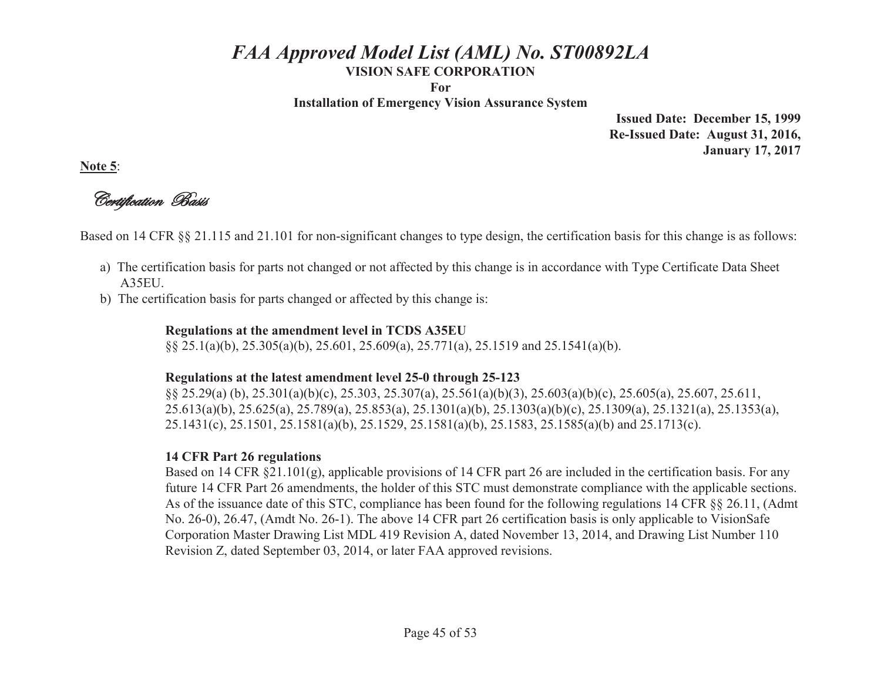**For** 

**Installation of Emergency Vision Assurance System** 

**Issued Date: December 15, 1999 Re-Issued Date: August 31, 2016, January 17, 2017** 

**Note 5**:

Certification Basis

Based on 14 CFR §§ 21.115 and 21.101 for non-significant changes to type design, the certification basis for this change is as follows:

- a) The certification basis for parts not changed or not affected by this change is in accordance with Type Certificate Data Sheet A35EU.
- b) The certification basis for parts changed or affected by this change is:

#### **Regulations at the amendment level in TCDS A35EU**

§§ 25.1(a)(b), 25.305(a)(b), 25.601, 25.609(a), 25.771(a), 25.1519 and 25.1541(a)(b).

#### **Regulations at the latest amendment level 25-0 through 25-123**

 §§ 25.29(a) (b), 25.301(a)(b)(c), 25.303, 25.307(a), 25.561(a)(b)(3), 25.603(a)(b)(c), 25.605(a), 25.607, 25.611, 25.613(a)(b), 25.625(a), 25.789(a), 25.853(a), 25.1301(a)(b), 25.1303(a)(b)(c), 25.1309(a), 25.1321(a), 25.1353(a), 25.1431(c), 25.1501, 25.1581(a)(b), 25.1529, 25.1581(a)(b), 25.1583, 25.1585(a)(b) and 25.1713(c).

#### **14 CFR Part 26 regulations**

 Based on 14 CFR §21.101(g), applicable provisions of 14 CFR part 26 are included in the certification basis. For any future 14 CFR Part 26 amendments, the holder of this STC must demonstrate compliance with the applicable sections. As of the issuance date of this STC, compliance has been found for the following regulations 14 CFR §§ 26.11, (Admt No. 26-0), 26.47, (Amdt No. 26-1). The above 14 CFR part 26 certification basis is only applicable to VisionSafe Corporation Master Drawing List MDL 419 Revision A, dated November 13, 2014, and Drawing List Number 110 Revision Z, dated September 03, 2014, or later FAA approved revisions.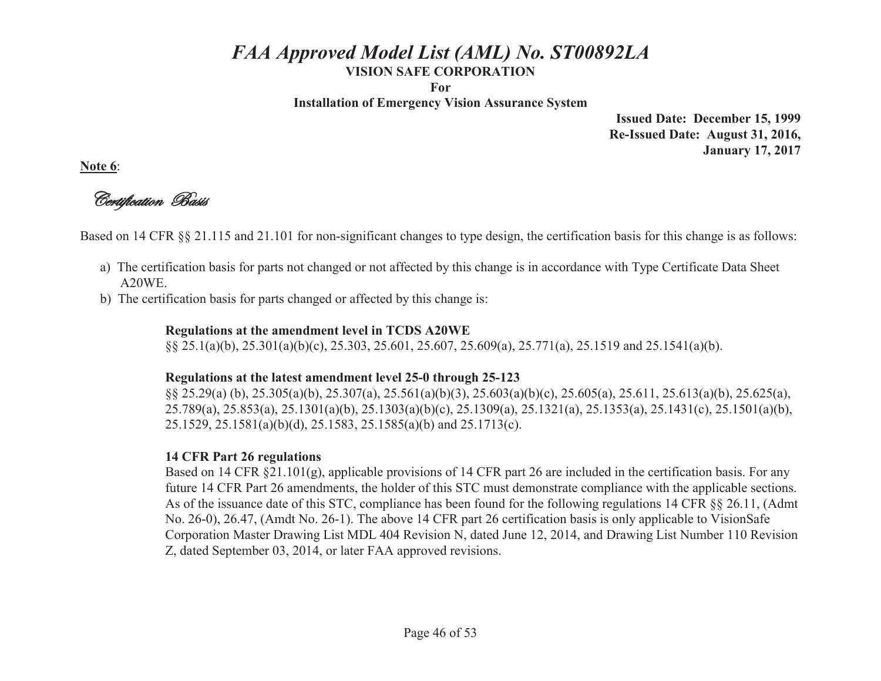**For** 

**Installation of Emergency Vision Assurance System** 

**Issued Date: December 15, 1999 Re-Issued Date: August 31, 2016, January 17, 2017** 

**Note 6**:

Certification Basis

Based on 14 CFR §§ 21.115 and 21.101 for non-significant changes to type design, the certification basis for this change is as follows:

- a) The certification basis for parts not changed or not affected by this change is in accordance with Type Certificate Data Sheet A20WE.
- b) The certification basis for parts changed or affected by this change is:

### **Regulations at the amendment level in TCDS A20WE**

§§ 25.1(a)(b), 25.301(a)(b)(c), 25.303, 25.601, 25.607, 25.609(a), 25.771(a), 25.1519 and 25.1541(a)(b).

### **Regulations at the latest amendment level 25-0 through 25-123**

 §§ 25.29(a) (b), 25.305(a)(b), 25.307(a), 25.561(a)(b)(3), 25.603(a)(b)(c), 25.605(a), 25.611, 25.613(a)(b), 25.625(a), 25.789(a), 25.853(a), 25.1301(a)(b), 25.1303(a)(b)(c), 25.1309(a), 25.1321(a), 25.1353(a), 25.1431(c), 25.1501(a)(b), 25.1529, 25.1581(a)(b)(d), 25.1583, 25.1585(a)(b) and 25.1713(c).

### **14 CFR Part 26 regulations**

 Based on 14 CFR §21.101(g), applicable provisions of 14 CFR part 26 are included in the certification basis. For any future 14 CFR Part 26 amendments, the holder of this STC must demonstrate compliance with the applicable sections. As of the issuance date of this STC, compliance has been found for the following regulations 14 CFR §§ 26.11, (Admt No. 26-0), 26.47, (Amdt No. 26-1). The above 14 CFR part 26 certification basis is only applicable to VisionSafe Corporation Master Drawing List MDL 404 Revision N, dated June 12, 2014, and Drawing List Number 110 Revision Z, dated September 03, 2014, or later FAA approved revisions.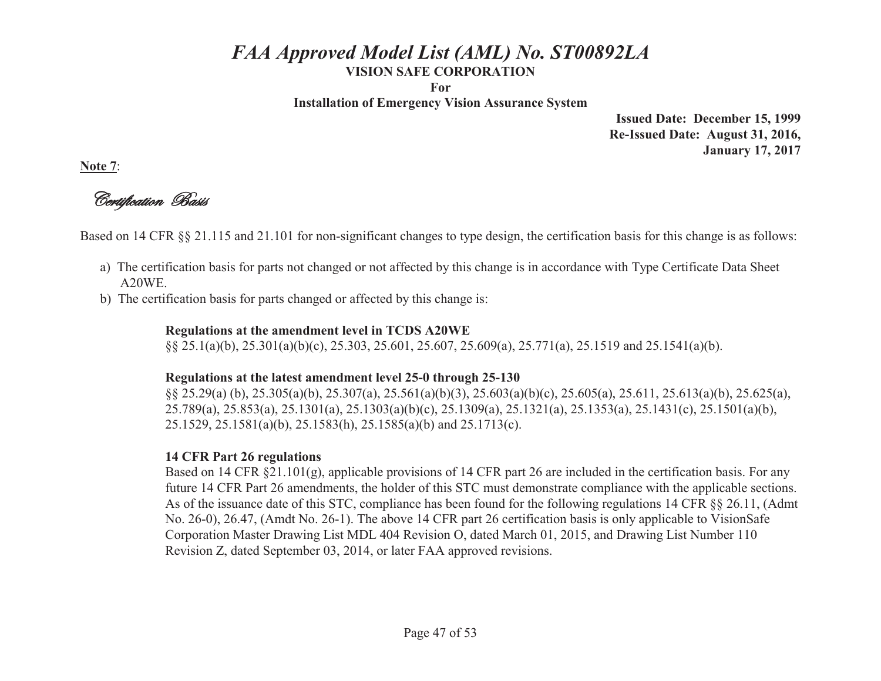**For** 

**Installation of Emergency Vision Assurance System** 

**Issued Date: December 15, 1999 Re-Issued Date: August 31, 2016, January 17, 2017** 

**Note 7**:

Certification Basis

Based on 14 CFR §§ 21.115 and 21.101 for non-significant changes to type design, the certification basis for this change is as follows:

- a) The certification basis for parts not changed or not affected by this change is in accordance with Type Certificate Data Sheet A20WE.
- b) The certification basis for parts changed or affected by this change is:

### **Regulations at the amendment level in TCDS A20WE**

§§ 25.1(a)(b), 25.301(a)(b)(c), 25.303, 25.601, 25.607, 25.609(a), 25.771(a), 25.1519 and 25.1541(a)(b).

### **Regulations at the latest amendment level 25-0 through 25-130**

 §§ 25.29(a) (b), 25.305(a)(b), 25.307(a), 25.561(a)(b)(3), 25.603(a)(b)(c), 25.605(a), 25.611, 25.613(a)(b), 25.625(a), 25.789(a), 25.853(a), 25.1301(a), 25.1303(a)(b)(c), 25.1309(a), 25.1321(a), 25.1353(a), 25.1431(c), 25.1501(a)(b), 25.1529, 25.1581(a)(b), 25.1583(h), 25.1585(a)(b) and 25.1713(c).

### **14 CFR Part 26 regulations**

 Based on 14 CFR §21.101(g), applicable provisions of 14 CFR part 26 are included in the certification basis. For any future 14 CFR Part 26 amendments, the holder of this STC must demonstrate compliance with the applicable sections. As of the issuance date of this STC, compliance has been found for the following regulations 14 CFR §§ 26.11, (Admt No. 26-0), 26.47, (Amdt No. 26-1). The above 14 CFR part 26 certification basis is only applicable to VisionSafe Corporation Master Drawing List MDL 404 Revision O, dated March 01, 2015, and Drawing List Number 110 Revision Z, dated September 03, 2014, or later FAA approved revisions.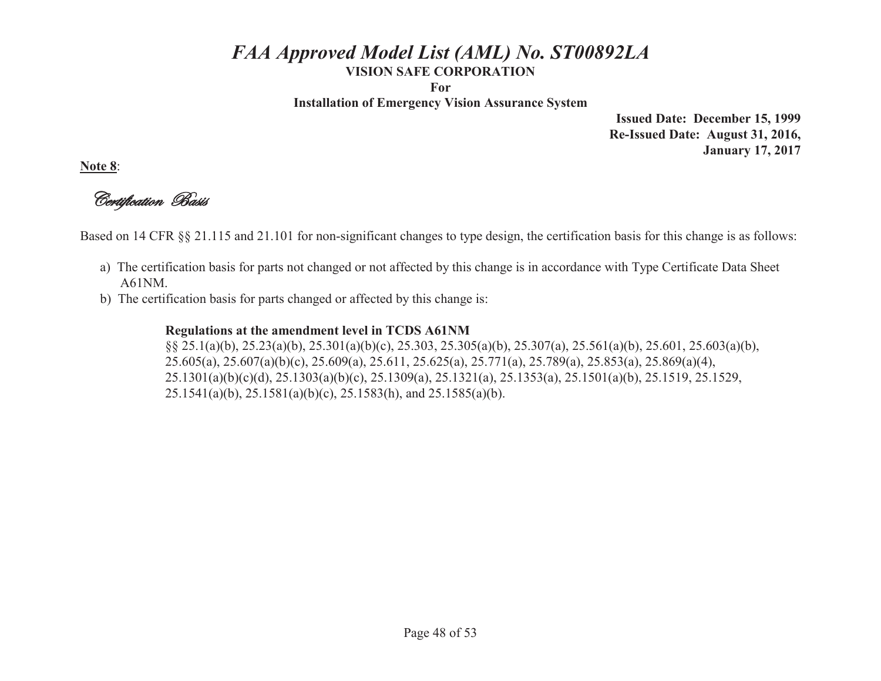**For** 

**Installation of Emergency Vision Assurance System** 

**Issued Date: December 15, 1999 Re-Issued Date: August 31, 2016, January 17, 2017** 

**Note 8**:

Certification Basis

Based on 14 CFR §§ 21.115 and 21.101 for non-significant changes to type design, the certification basis for this change is as follows:

- a) The certification basis for parts not changed or not affected by this change is in accordance with Type Certificate Data Sheet A61NM.
- b) The certification basis for parts changed or affected by this change is:

#### **Regulations at the amendment level in TCDS A61NM**

 §§ 25.1(a)(b), 25.23(a)(b), 25.301(a)(b)(c), 25.303, 25.305(a)(b), 25.307(a), 25.561(a)(b), 25.601, 25.603(a)(b), 25.605(a), 25.607(a)(b)(c), 25.609(a), 25.611, 25.625(a), 25.771(a), 25.789(a), 25.853(a), 25.869(a)(4), 25.1301(a)(b)(c)(d), 25.1303(a)(b)(c), 25.1309(a), 25.1321(a), 25.1353(a), 25.1501(a)(b), 25.1519, 25.1529,  $25.1541(a)(b)$ ,  $25.1581(a)(b)(c)$ ,  $25.1583(h)$ , and  $25.1585(a)(b)$ .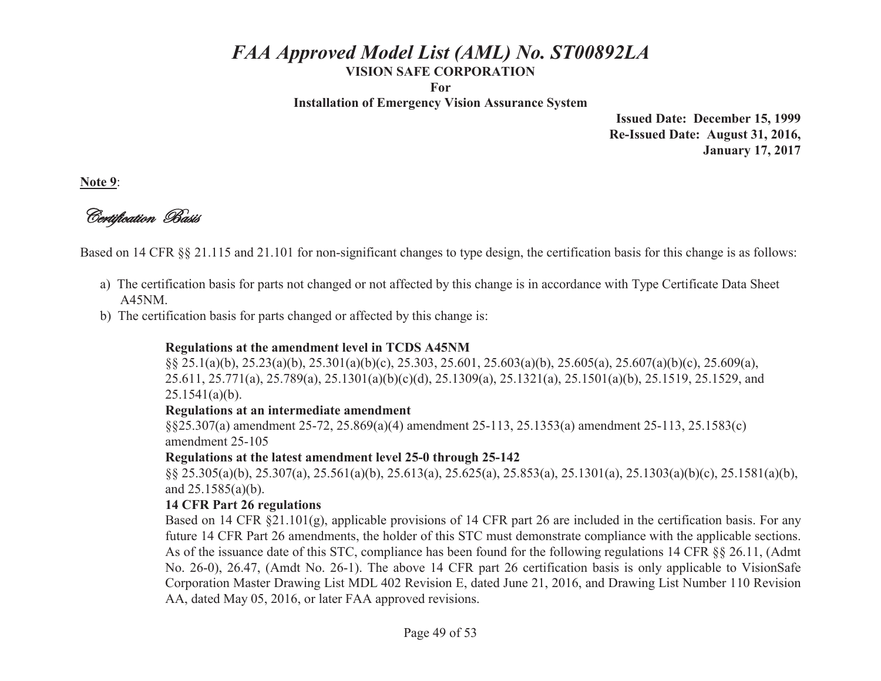**For** 

**Installation of Emergency Vision Assurance System** 

**Issued Date: December 15, 1999 Re-Issued Date: August 31, 2016, January 17, 2017** 

**Note 9**:

Certification Basis

Based on 14 CFR §§ 21.115 and 21.101 for non-significant changes to type design, the certification basis for this change is as follows:

- a) The certification basis for parts not changed or not affected by this change is in accordance with Type Certificate Data Sheet A45NM.
- b) The certification basis for parts changed or affected by this change is:

### **Regulations at the amendment level in TCDS A45NM**

 §§ 25.1(a)(b), 25.23(a)(b), 25.301(a)(b)(c), 25.303, 25.601, 25.603(a)(b), 25.605(a), 25.607(a)(b)(c), 25.609(a), 25.611, 25.771(a), 25.789(a), 25.1301(a)(b)(c)(d), 25.1309(a), 25.1321(a), 25.1501(a)(b), 25.1519, 25.1529, and  $25.1541(a)(b)$ .

#### **Regulations at an intermediate amendment**

 §§25.307(a) amendment 25-72, 25.869(a)(4) amendment 25-113, 25.1353(a) amendment 25-113, 25.1583(c) amendment 25-105

#### **Regulations at the latest amendment level 25-0 through 25-142**

 §§ 25.305(a)(b), 25.307(a), 25.561(a)(b), 25.613(a), 25.625(a), 25.853(a), 25.1301(a), 25.1303(a)(b)(c), 25.1581(a)(b), and 25.1585(a)(b).

#### **14 CFR Part 26 regulations**

Based on 14 CFR §21.101(g), applicable provisions of 14 CFR part 26 are included in the certification basis. For any future 14 CFR Part 26 amendments, the holder of this STC must demonstrate compliance with the applicable sections. As of the issuance date of this STC, compliance has been found for the following regulations 14 CFR §§ 26.11, (Admt No. 26-0), 26.47, (Amdt No. 26-1). The above 14 CFR part 26 certification basis is only applicable to VisionSafe Corporation Master Drawing List MDL 402 Revision E, dated June 21, 2016, and Drawing List Number 110 Revision AA, dated May 05, 2016, or later FAA approved revisions.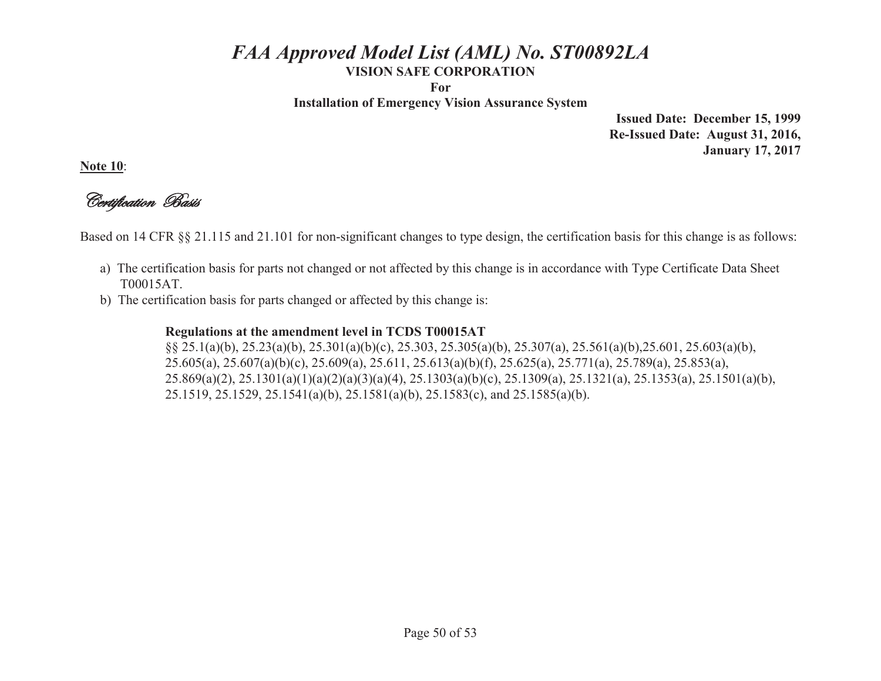**For** 

**Installation of Emergency Vision Assurance System** 

**Issued Date: December 15, 1999 Re-Issued Date: August 31, 2016, January 17, 2017** 

**Note 10**:

Certification Basis

Based on 14 CFR §§ 21.115 and 21.101 for non-significant changes to type design, the certification basis for this change is as follows:

- a) The certification basis for parts not changed or not affected by this change is in accordance with Type Certificate Data Sheet T00015AT.
- b) The certification basis for parts changed or affected by this change is:

#### **Regulations at the amendment level in TCDS T00015AT**

 §§ 25.1(a)(b), 25.23(a)(b), 25.301(a)(b)(c), 25.303, 25.305(a)(b), 25.307(a), 25.561(a)(b),25.601, 25.603(a)(b), 25.605(a), 25.607(a)(b)(c), 25.609(a), 25.611, 25.613(a)(b)(f), 25.625(a), 25.771(a), 25.789(a), 25.853(a), 25.869(a)(2), 25.1301(a)(1)(a)(2)(a)(3)(a)(4), 25.1303(a)(b)(c), 25.1309(a), 25.1321(a), 25.1353(a), 25.1501(a)(b), 25.1519, 25.1529, 25.1541(a)(b), 25.1581(a)(b), 25.1583(c), and 25.1585(a)(b).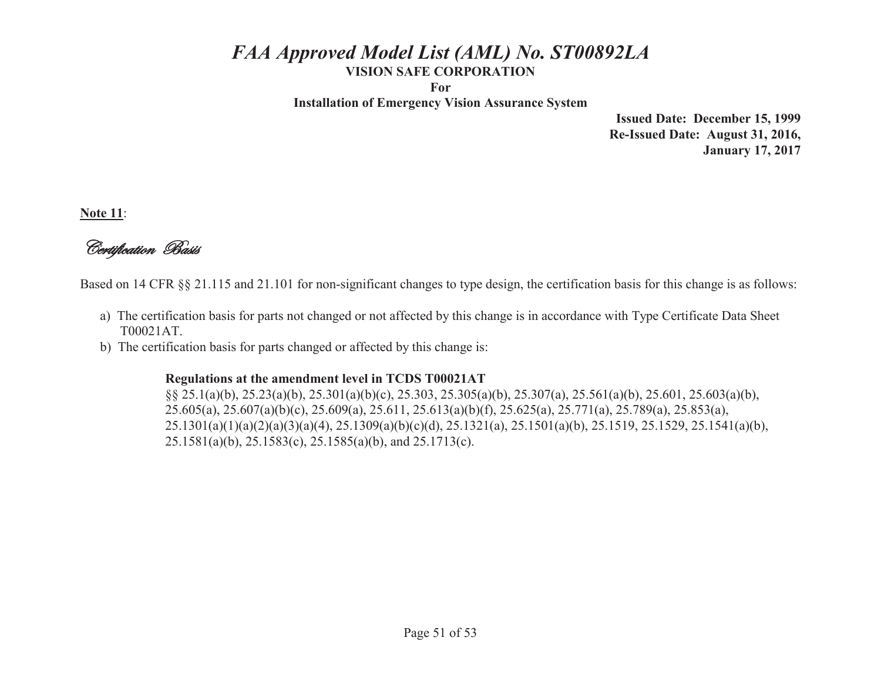**For** 

**Installation of Emergency Vision Assurance System** 

**Issued Date: December 15, 1999 Re-Issued Date: August 31, 2016, January 17, 2017** 

**Note 11**:

Certification Basis

Based on 14 CFR §§ 21.115 and 21.101 for non-significant changes to type design, the certification basis for this change is as follows:

- a) The certification basis for parts not changed or not affected by this change is in accordance with Type Certificate Data Sheet T00021AT.
- b) The certification basis for parts changed or affected by this change is:

#### **Regulations at the amendment level in TCDS T00021AT**

 §§ 25.1(a)(b), 25.23(a)(b), 25.301(a)(b)(c), 25.303, 25.305(a)(b), 25.307(a), 25.561(a)(b), 25.601, 25.603(a)(b), 25.605(a), 25.607(a)(b)(c), 25.609(a), 25.611, 25.613(a)(b)(f), 25.625(a), 25.771(a), 25.789(a), 25.853(a), 25.1301(a)(1)(a)(2)(a)(3)(a)(4), 25.1309(a)(b)(c)(d), 25.1321(a), 25.1501(a)(b), 25.1519, 25.1529, 25.1541(a)(b), 25.1581(a)(b), 25.1583(c), 25.1585(a)(b), and 25.1713(c).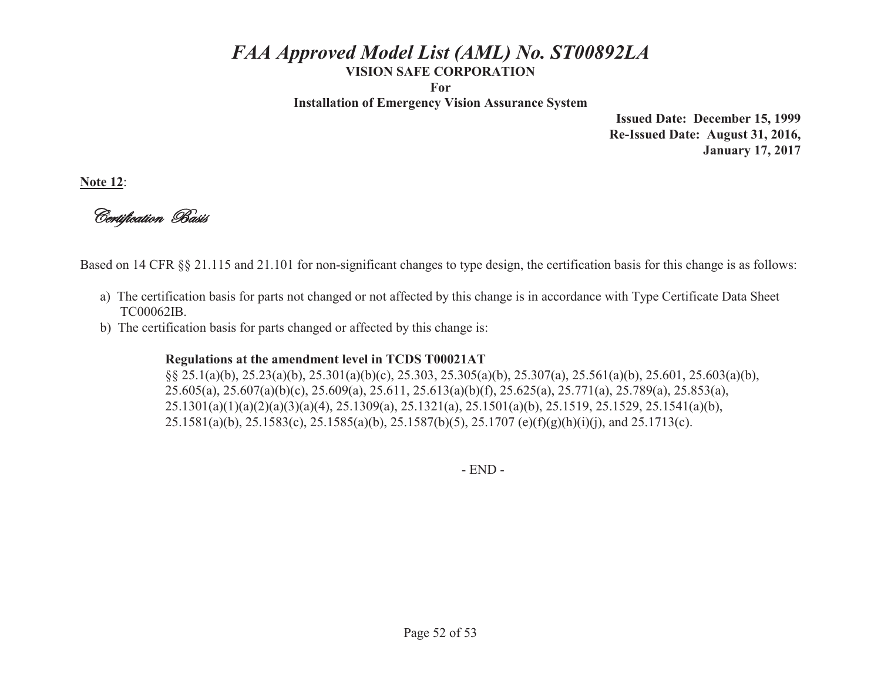**For** 

**Installation of Emergency Vision Assurance System** 

**Issued Date: December 15, 1999 Re-Issued Date: August 31, 2016, January 17, 2017** 

**Note 12**:

Certification Basis

Based on 14 CFR §§ 21.115 and 21.101 for non-significant changes to type design, the certification basis for this change is as follows:

- a) The certification basis for parts not changed or not affected by this change is in accordance with Type Certificate Data Sheet TC00062IB.
- b) The certification basis for parts changed or affected by this change is:

#### **Regulations at the amendment level in TCDS T00021AT**

 §§ 25.1(a)(b), 25.23(a)(b), 25.301(a)(b)(c), 25.303, 25.305(a)(b), 25.307(a), 25.561(a)(b), 25.601, 25.603(a)(b), 25.605(a), 25.607(a)(b)(c), 25.609(a), 25.611, 25.613(a)(b)(f), 25.625(a), 25.771(a), 25.789(a), 25.853(a), 25.1301(a)(1)(a)(2)(a)(3)(a)(4), 25.1309(a), 25.1321(a), 25.1501(a)(b), 25.1519, 25.1529, 25.1541(a)(b), 25.1581(a)(b), 25.1583(c), 25.1585(a)(b), 25.1587(b)(5), 25.1707 (e)(f)(g)(h)(i)(j), and 25.1713(c).

- END -